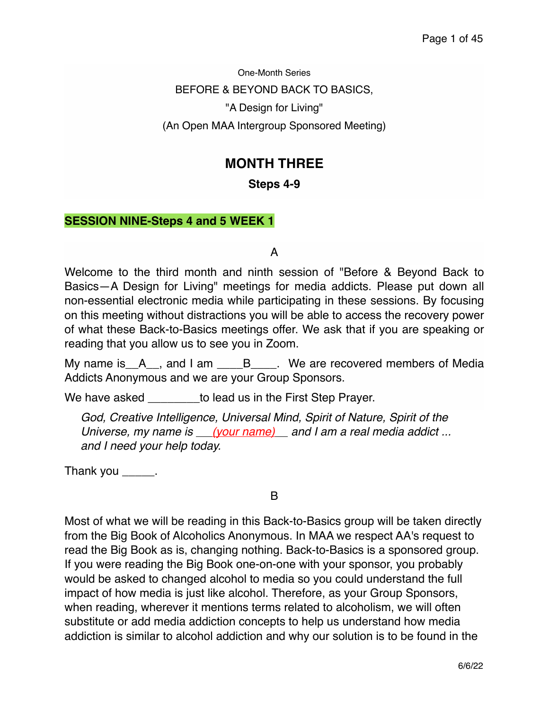One-Month Series BEFORE & BEYOND BACK TO BASICS, "A Design for Living" (An Open MAA Intergroup Sponsored Meeting)

# **MONTH THREE**

# **Steps 4-9**

# **SESSION NINE-Steps 4 and 5 WEEK 1**

A

Welcome to the third month and ninth session of "Before & Beyond Back to Basics—A Design for Living" meetings for media addicts. Please put down all non-essential electronic media while participating in these sessions. By focusing on this meeting without distractions you will be able to access the recovery power of what these Back-to-Basics meetings offer. We ask that if you are speaking or reading that you allow us to see you in Zoom.

My name is  $A_{n}$ , and I am  $B_{n}$ . We are recovered members of Media Addicts Anonymous and we are your Group Sponsors.

We have asked **we asked** to lead us in the First Step Prayer.

*God, Creative Intelligence, Universal Mind, Spirit of Nature, Spirit of the Universe, my name is (your name) and I am a real media addict ... and I need your help today.*

Thank you  $\_\_\_\_\_\$ .

B

Most of what we will be reading in this Back-to-Basics group will be taken directly from the Big Book of Alcoholics Anonymous. In MAA we respect AA's request to read the Big Book as is, changing nothing. Back-to-Basics is a sponsored group. If you were reading the Big Book one-on-one with your sponsor, you probably would be asked to changed alcohol to media so you could understand the full impact of how media is just like alcohol. Therefore, as your Group Sponsors, when reading, wherever it mentions terms related to alcoholism, we will often substitute or add media addiction concepts to help us understand how media addiction is similar to alcohol addiction and why our solution is to be found in the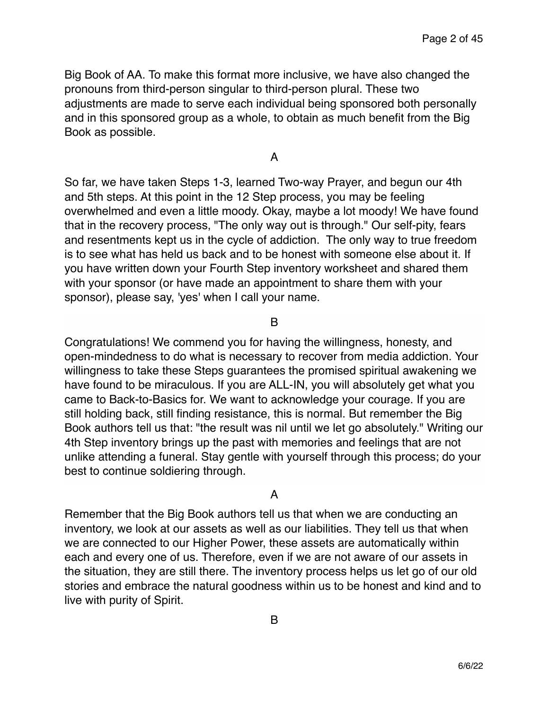Big Book of AA. To make this format more inclusive, we have also changed the pronouns from third-person singular to third-person plural. These two adjustments are made to serve each individual being sponsored both personally and in this sponsored group as a whole, to obtain as much benefit from the Big Book as possible.

A

So far, we have taken Steps 1-3, learned Two-way Prayer, and begun our 4th and 5th steps. At this point in the 12 Step process, you may be feeling overwhelmed and even a little moody. Okay, maybe a lot moody! We have found that in the recovery process, "The only way out is through." Our self-pity, fears and resentments kept us in the cycle of addiction. The only way to true freedom is to see what has held us back and to be honest with someone else about it. If you have written down your Fourth Step inventory worksheet and shared them with your sponsor (or have made an appointment to share them with your sponsor), please say, 'yes' when I call your name.

B

Congratulations! We commend you for having the willingness, honesty, and open-mindedness to do what is necessary to recover from media addiction. Your willingness to take these Steps guarantees the promised spiritual awakening we have found to be miraculous. If you are ALL-IN, you will absolutely get what you came to Back-to-Basics for. We want to acknowledge your courage. If you are still holding back, still finding resistance, this is normal. But remember the Big Book authors tell us that: "the result was nil until we let go absolutely." Writing our 4th Step inventory brings up the past with memories and feelings that are not unlike attending a funeral. Stay gentle with yourself through this process; do your best to continue soldiering through.

A

Remember that the Big Book authors tell us that when we are conducting an inventory, we look at our assets as well as our liabilities. They tell us that when we are connected to our Higher Power, these assets are automatically within each and every one of us. Therefore, even if we are not aware of our assets in the situation, they are still there. The inventory process helps us let go of our old stories and embrace the natural goodness within us to be honest and kind and to live with purity of Spirit.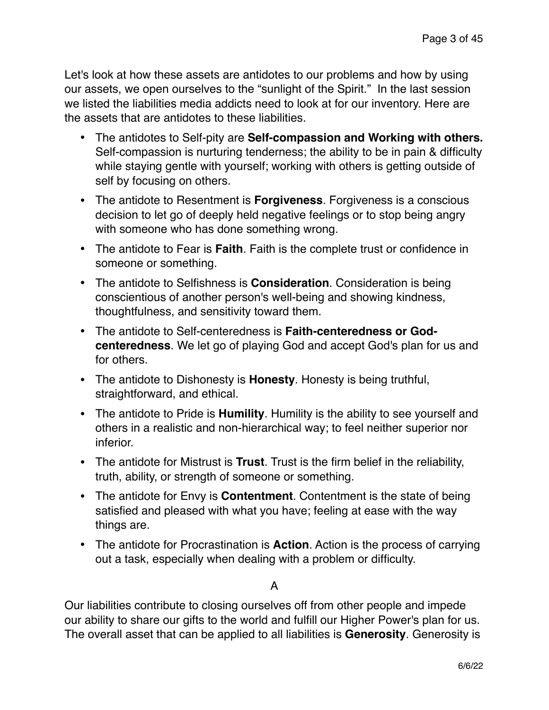Let's look at how these assets are antidotes to our problems and how by using our assets, we open ourselves to the "sunlight of the Spirit." In the last session we listed the liabilities media addicts need to look at for our inventory. Here are the assets that are antidotes to these liabilities.

- The antidotes to Self-pity are **Self-compassion and Working with others.**  Self-compassion is nurturing tenderness; the ability to be in pain & difficulty while staying gentle with yourself; working with others is getting outside of self by focusing on others.
- The antidote to Resentment is **Forgiveness**. Forgiveness is a conscious decision to let go of deeply held negative feelings or to stop being angry with someone who has done something wrong.
- The antidote to Fear is **Faith**. Faith is the complete trust or confidence in someone or something.
- The antidote to Selfishness is **Consideration**. Consideration is being conscientious of another person's well-being and showing kindness, thoughtfulness, and sensitivity toward them.
- The antidote to Self-centeredness is **Faith-centeredness or Godcenteredness**. We let go of playing God and accept God's plan for us and for others.
- The antidote to Dishonesty is **Honesty**. Honesty is being truthful, straightforward, and ethical.
- The antidote to Pride is **Humility**. Humility is the ability to see yourself and others in a realistic and non-hierarchical way; to feel neither superior nor inferior.
- The antidote for Mistrust is **Trust**. Trust is the firm belief in the reliability, truth, ability, or strength of someone or something.
- The antidote for Envy is **Contentment**. Contentment is the state of being satisfied and pleased with what you have; feeling at ease with the way things are.
- The antidote for Procrastination is **Action**. Action is the process of carrying out a task, especially when dealing with a problem or difficulty.

# A

Our liabilities contribute to closing ourselves off from other people and impede our ability to share our gifts to the world and fulfill our Higher Power's plan for us. The overall asset that can be applied to all liabilities is **Generosity**. Generosity is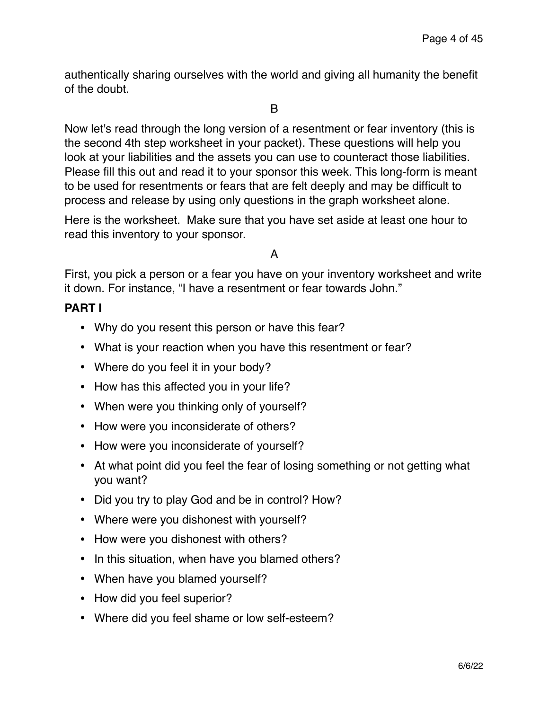authentically sharing ourselves with the world and giving all humanity the benefit of the doubt.

### B

Now let's read through the long version of a resentment or fear inventory (this is the second 4th step worksheet in your packet). These questions will help you look at your liabilities and the assets you can use to counteract those liabilities. Please fill this out and read it to your sponsor this week. This long-form is meant to be used for resentments or fears that are felt deeply and may be difficult to process and release by using only questions in the graph worksheet alone.

Here is the worksheet. Make sure that you have set aside at least one hour to read this inventory to your sponsor.

# A

First, you pick a person or a fear you have on your inventory worksheet and write it down. For instance, "I have a resentment or fear towards John."

# **PART I**

- Why do you resent this person or have this fear?
- What is your reaction when you have this resentment or fear?
- Where do you feel it in your body?
- How has this affected you in your life?
- When were you thinking only of yourself?
- How were you inconsiderate of others?
- How were you inconsiderate of yourself?
- At what point did you feel the fear of losing something or not getting what you want?
- Did you try to play God and be in control? How?
- Where were you dishonest with yourself?
- How were you dishonest with others?
- In this situation, when have you blamed others?
- When have you blamed yourself?
- How did you feel superior?
- Where did you feel shame or low self-esteem?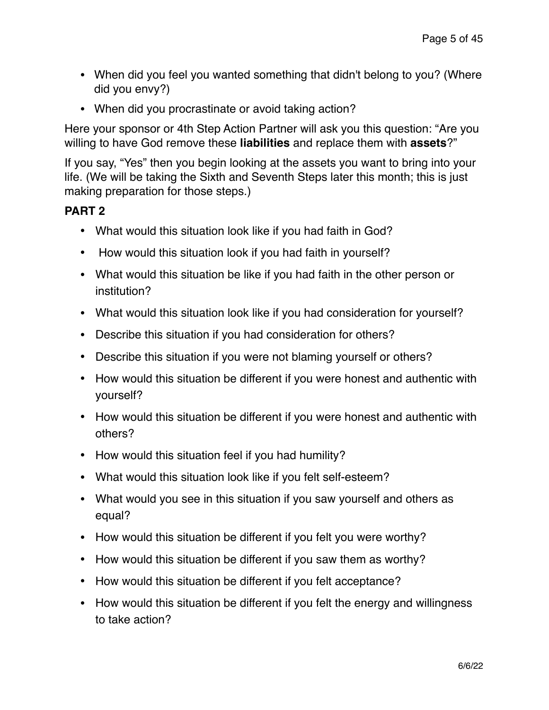- When did you feel you wanted something that didn't belong to you? (Where did you envy?)
- When did you procrastinate or avoid taking action?

Here your sponsor or 4th Step Action Partner will ask you this question: "Are you willing to have God remove these **liabilities** and replace them with **assets**?"

If you say, "Yes" then you begin looking at the assets you want to bring into your life. (We will be taking the Sixth and Seventh Steps later this month; this is just making preparation for those steps.)

# **PART 2**

- What would this situation look like if you had faith in God?
- How would this situation look if you had faith in yourself?
- What would this situation be like if you had faith in the other person or institution?
- What would this situation look like if you had consideration for yourself?
- Describe this situation if you had consideration for others?
- Describe this situation if you were not blaming yourself or others?
- How would this situation be different if you were honest and authentic with yourself?
- How would this situation be different if you were honest and authentic with others?
- How would this situation feel if you had humility?
- What would this situation look like if you felt self-esteem?
- What would you see in this situation if you saw yourself and others as equal?
- How would this situation be different if you felt you were worthy?
- How would this situation be different if you saw them as worthy?
- How would this situation be different if you felt acceptance?
- How would this situation be different if you felt the energy and willingness to take action?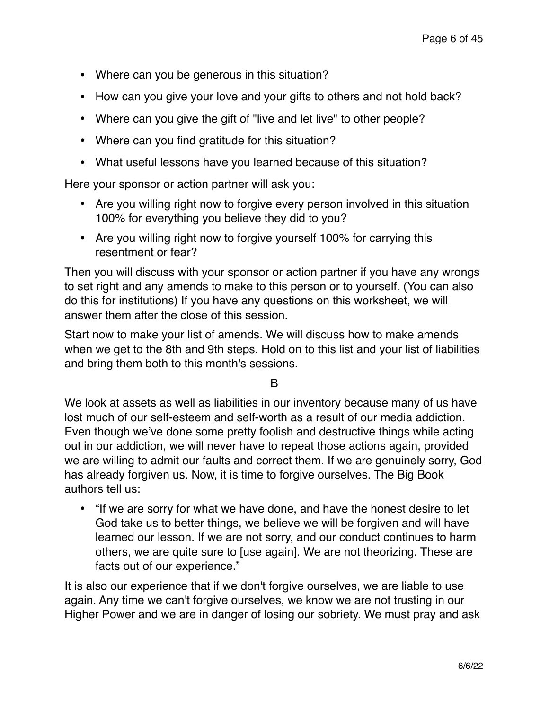- Where can you be generous in this situation?
- How can you give your love and your gifts to others and not hold back?
- Where can you give the gift of "live and let live" to other people?
- Where can you find gratitude for this situation?
- What useful lessons have you learned because of this situation?

Here your sponsor or action partner will ask you:

- Are you willing right now to forgive every person involved in this situation 100% for everything you believe they did to you?
- Are you willing right now to forgive yourself 100% for carrying this resentment or fear?

Then you will discuss with your sponsor or action partner if you have any wrongs to set right and any amends to make to this person or to yourself. (You can also do this for institutions) If you have any questions on this worksheet, we will answer them after the close of this session.

Start now to make your list of amends. We will discuss how to make amends when we get to the 8th and 9th steps. Hold on to this list and your list of liabilities and bring them both to this month's sessions.

B

We look at assets as well as liabilities in our inventory because many of us have lost much of our self-esteem and self-worth as a result of our media addiction. Even though we've done some pretty foolish and destructive things while acting out in our addiction, we will never have to repeat those actions again, provided we are willing to admit our faults and correct them. If we are genuinely sorry, God has already forgiven us. Now, it is time to forgive ourselves. The Big Book authors tell us:

• "If we are sorry for what we have done, and have the honest desire to let God take us to better things, we believe we will be forgiven and will have learned our lesson. If we are not sorry, and our conduct continues to harm others, we are quite sure to [use again]. We are not theorizing. These are facts out of our experience."

It is also our experience that if we don't forgive ourselves, we are liable to use again. Any time we can't forgive ourselves, we know we are not trusting in our Higher Power and we are in danger of losing our sobriety. We must pray and ask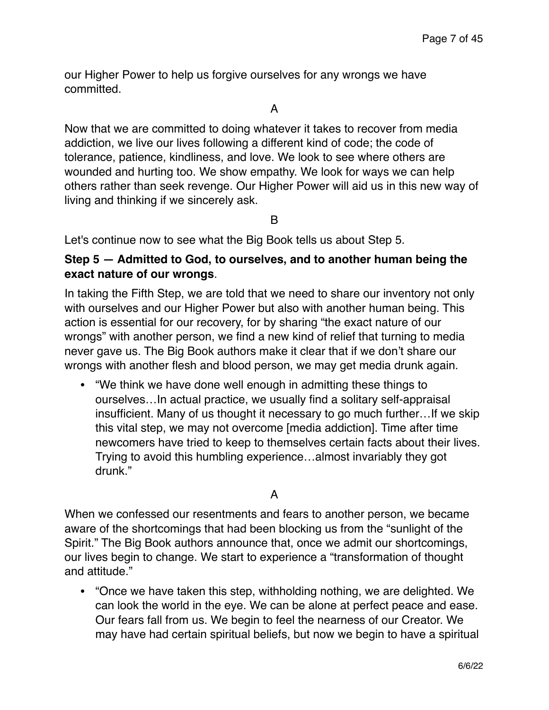our Higher Power to help us forgive ourselves for any wrongs we have committed.

A

Now that we are committed to doing whatever it takes to recover from media addiction, we live our lives following a different kind of code; the code of tolerance, patience, kindliness, and love. We look to see where others are wounded and hurting too. We show empathy. We look for ways we can help others rather than seek revenge. Our Higher Power will aid us in this new way of living and thinking if we sincerely ask.

B

Let's continue now to see what the Big Book tells us about Step 5.

# **Step 5 — Admitted to God, to ourselves, and to another human being the exact nature of our wrongs**.

In taking the Fifth Step, we are told that we need to share our inventory not only with ourselves and our Higher Power but also with another human being. This action is essential for our recovery, for by sharing "the exact nature of our wrongs" with another person, we find a new kind of relief that turning to media never gave us. The Big Book authors make it clear that if we don't share our wrongs with another flesh and blood person, we may get media drunk again.

• "We think we have done well enough in admitting these things to ourselves…In actual practice, we usually find a solitary self-appraisal insufficient. Many of us thought it necessary to go much further…If we skip this vital step, we may not overcome [media addiction]. Time after time newcomers have tried to keep to themselves certain facts about their lives. Trying to avoid this humbling experience…almost invariably they got drunk."

A

When we confessed our resentments and fears to another person, we became aware of the shortcomings that had been blocking us from the "sunlight of the Spirit." The Big Book authors announce that, once we admit our shortcomings, our lives begin to change. We start to experience a "transformation of thought and attitude."

• "Once we have taken this step, withholding nothing, we are delighted. We can look the world in the eye. We can be alone at perfect peace and ease. Our fears fall from us. We begin to feel the nearness of our Creator. We may have had certain spiritual beliefs, but now we begin to have a spiritual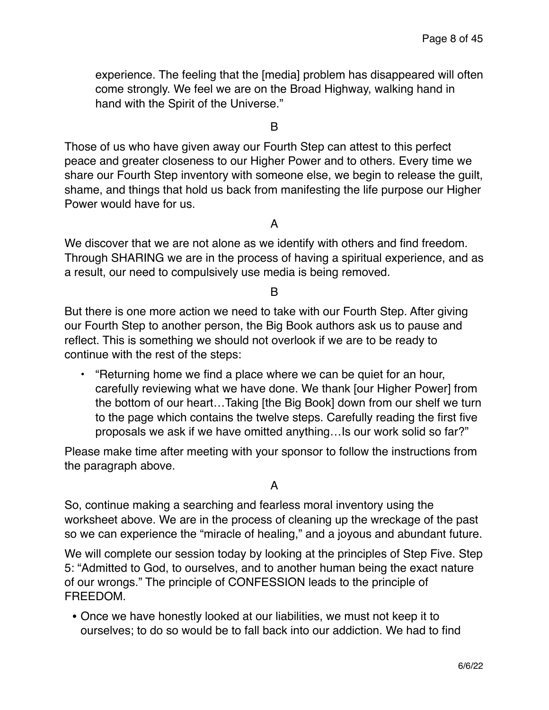experience. The feeling that the [media] problem has disappeared will often come strongly. We feel we are on the Broad Highway, walking hand in hand with the Spirit of the Universe."

B

Those of us who have given away our Fourth Step can attest to this perfect peace and greater closeness to our Higher Power and to others. Every time we share our Fourth Step inventory with someone else, we begin to release the guilt, shame, and things that hold us back from manifesting the life purpose our Higher Power would have for us.

A

We discover that we are not alone as we identify with others and find freedom. Through SHARING we are in the process of having a spiritual experience, and as a result, our need to compulsively use media is being removed.

B

But there is one more action we need to take with our Fourth Step. After giving our Fourth Step to another person, the Big Book authors ask us to pause and reflect. This is something we should not overlook if we are to be ready to continue with the rest of the steps:

**•** "Returning home we find a place where we can be quiet for an hour, carefully reviewing what we have done. We thank [our Higher Power] from the bottom of our heart…Taking [the Big Book] down from our shelf we turn to the page which contains the twelve steps. Carefully reading the first five proposals we ask if we have omitted anything…Is our work solid so far?"

Please make time after meeting with your sponsor to follow the instructions from the paragraph above.

A

So, continue making a searching and fearless moral inventory using the worksheet above. We are in the process of cleaning up the wreckage of the past so we can experience the "miracle of healing," and a joyous and abundant future.

We will complete our session today by looking at the principles of Step Five. Step 5: "Admitted to God, to ourselves, and to another human being the exact nature of our wrongs." The principle of CONFESSION leads to the principle of FREEDOM.

• Once we have honestly looked at our liabilities, we must not keep it to ourselves; to do so would be to fall back into our addiction. We had to find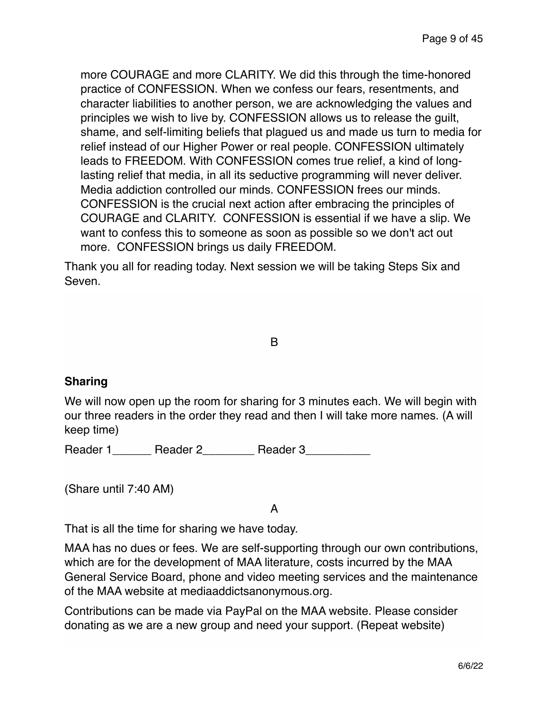more COURAGE and more CLARITY. We did this through the time-honored practice of CONFESSION. When we confess our fears, resentments, and character liabilities to another person, we are acknowledging the values and principles we wish to live by. CONFESSION allows us to release the guilt, shame, and self-limiting beliefs that plagued us and made us turn to media for relief instead of our Higher Power or real people. CONFESSION ultimately leads to FREEDOM. With CONFESSION comes true relief, a kind of longlasting relief that media, in all its seductive programming will never deliver. Media addiction controlled our minds. CONFESSION frees our minds. CONFESSION is the crucial next action after embracing the principles of COURAGE and CLARITY. CONFESSION is essential if we have a slip. We want to confess this to someone as soon as possible so we don't act out more. CONFESSION brings us daily FREEDOM.

Thank you all for reading today. Next session we will be taking Steps Six and Seven.

B

# **Sharing**

We will now open up the room for sharing for 3 minutes each. We will begin with our three readers in the order they read and then I will take more names. (A will keep time)

Reader 1\_\_\_\_\_\_\_ Reader 2\_\_\_\_\_\_\_\_\_ Reader 3\_\_\_\_\_\_\_\_\_

(Share until 7:40 AM)

A

That is all the time for sharing we have today.

MAA has no dues or fees. We are self-supporting through our own contributions, which are for the development of MAA literature, costs incurred by the MAA General Service Board, phone and video meeting services and the maintenance of the MAA website at mediaaddictsanonymous.org.

Contributions can be made via PayPal on the MAA website. Please consider donating as we are a new group and need your support. (Repeat website)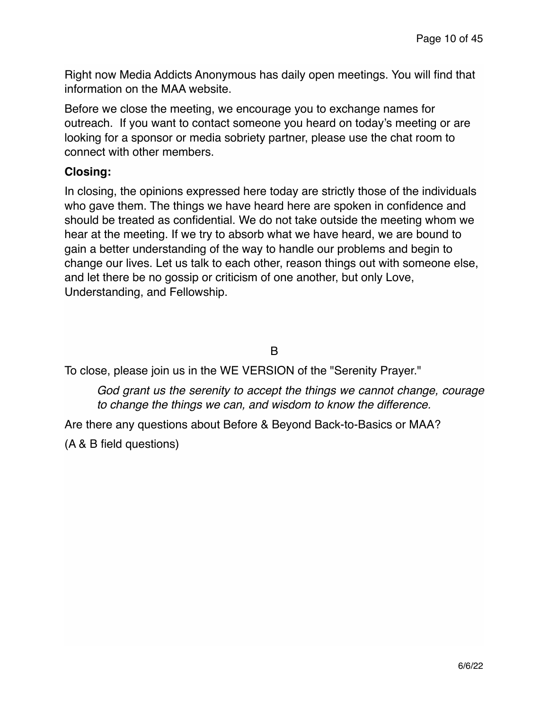Right now Media Addicts Anonymous has daily open meetings. You will find that information on the MAA website.

Before we close the meeting, we encourage you to exchange names for outreach. If you want to contact someone you heard on today's meeting or are looking for a sponsor or media sobriety partner, please use the chat room to connect with other members.

# **Closing:**

In closing, the opinions expressed here today are strictly those of the individuals who gave them. The things we have heard here are spoken in confidence and should be treated as confidential. We do not take outside the meeting whom we hear at the meeting. If we try to absorb what we have heard, we are bound to gain a better understanding of the way to handle our problems and begin to change our lives. Let us talk to each other, reason things out with someone else, and let there be no gossip or criticism of one another, but only Love, Understanding, and Fellowship.

# B

To close, please join us in the WE VERSION of the "Serenity Prayer."

*God grant us the serenity to accept the things we cannot change, courage to change the things we can, and wisdom to know the difference.*

Are there any questions about Before & Beyond Back-to-Basics or MAA?

(A & B field questions)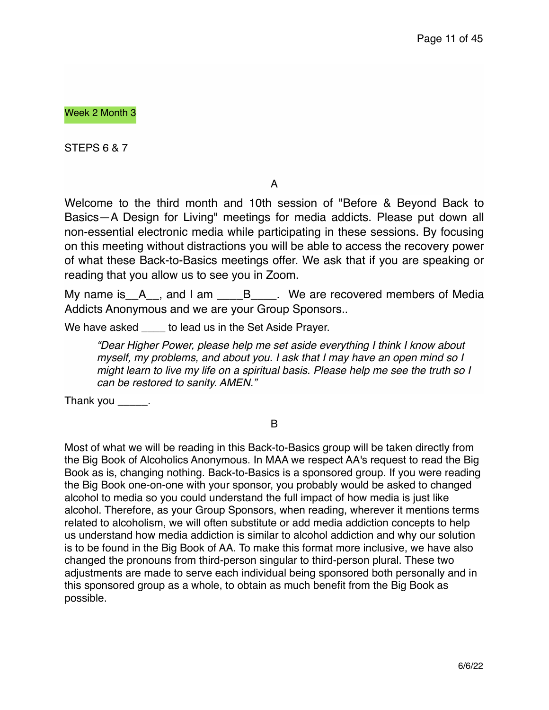Week 2 Month 3

STEPS 6 & 7

A

Welcome to the third month and 10th session of "Before & Beyond Back to Basics—A Design for Living" meetings for media addicts. Please put down all non-essential electronic media while participating in these sessions. By focusing on this meeting without distractions you will be able to access the recovery power of what these Back-to-Basics meetings offer. We ask that if you are speaking or reading that you allow us to see you in Zoom.

My name is  $A$ , and I am  $B$ ,  $B$ ,  $W$ e are recovered members of Media Addicts Anonymous and we are your Group Sponsors..

We have asked \_\_\_\_ to lead us in the Set Aside Prayer.

*"Dear Higher Power, please help me set aside everything I think I know about myself, my problems, and about you. I ask that I may have an open mind so I might learn to live my life on a spiritual basis. Please help me see the truth so I can be restored to sanity. AMEN."* 

Thank you \_\_\_\_\_\_.

B

Most of what we will be reading in this Back-to-Basics group will be taken directly from the Big Book of Alcoholics Anonymous. In MAA we respect AA's request to read the Big Book as is, changing nothing. Back-to-Basics is a sponsored group. If you were reading the Big Book one-on-one with your sponsor, you probably would be asked to changed alcohol to media so you could understand the full impact of how media is just like alcohol. Therefore, as your Group Sponsors, when reading, wherever it mentions terms related to alcoholism, we will often substitute or add media addiction concepts to help us understand how media addiction is similar to alcohol addiction and why our solution is to be found in the Big Book of AA. To make this format more inclusive, we have also changed the pronouns from third-person singular to third-person plural. These two adjustments are made to serve each individual being sponsored both personally and in this sponsored group as a whole, to obtain as much benefit from the Big Book as possible.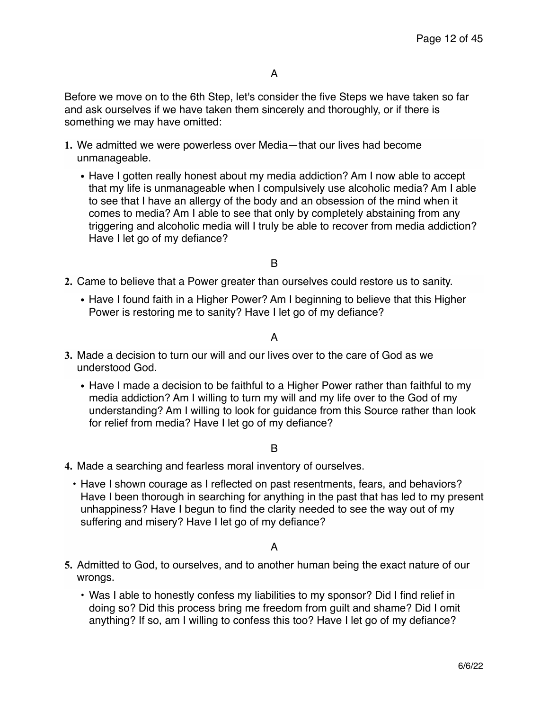Before we move on to the 6th Step, let's consider the five Steps we have taken so far and ask ourselves if we have taken them sincerely and thoroughly, or if there is something we may have omitted:

- **1.** We admitted we were powerless over Media—that our lives had become unmanageable.
	- **•** Have I gotten really honest about my media addiction? Am I now able to accept that my life is unmanageable when I compulsively use alcoholic media? Am I able to see that I have an allergy of the body and an obsession of the mind when it comes to media? Am I able to see that only by completely abstaining from any triggering and alcoholic media will I truly be able to recover from media addiction? Have I let go of my defiance?

B

- **2.** Came to believe that a Power greater than ourselves could restore us to sanity.
	- **•** Have I found faith in a Higher Power? Am I beginning to believe that this Higher Power is restoring me to sanity? Have I let go of my defiance?

A

- **3.** Made a decision to turn our will and our lives over to the care of God as we understood God.
	- **•** Have I made a decision to be faithful to a Higher Power rather than faithful to my media addiction? Am I willing to turn my will and my life over to the God of my understanding? Am I willing to look for guidance from this Source rather than look for relief from media? Have I let go of my defiance?

B

- **4.** Made a searching and fearless moral inventory of ourselves.
	- Have I shown courage as I reflected on past resentments, fears, and behaviors? Have I been thorough in searching for anything in the past that has led to my present unhappiness? Have I begun to find the clarity needed to see the way out of my suffering and misery? Have I let go of my defiance?

A

- **5.** Admitted to God, to ourselves, and to another human being the exact nature of our wrongs.
	- Was I able to honestly confess my liabilities to my sponsor? Did I find relief in doing so? Did this process bring me freedom from guilt and shame? Did I omit anything? If so, am I willing to confess this too? Have I let go of my defiance?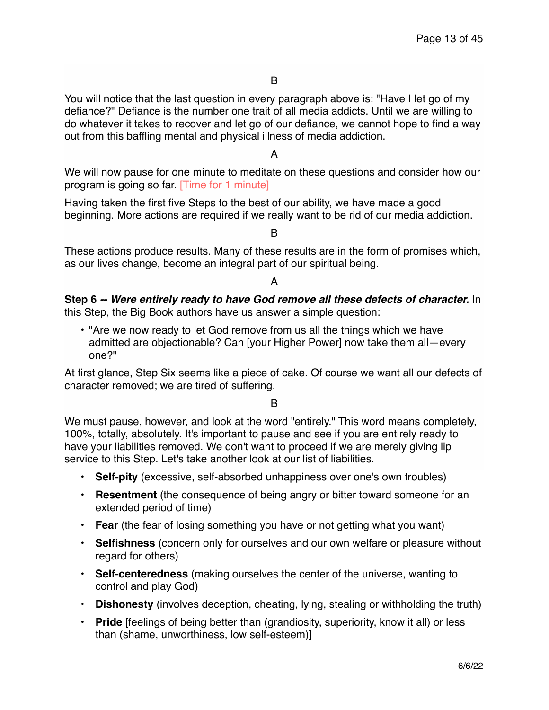You will notice that the last question in every paragraph above is: "Have I let go of my defiance?" Defiance is the number one trait of all media addicts. Until we are willing to do whatever it takes to recover and let go of our defiance, we cannot hope to find a way out from this baffling mental and physical illness of media addiction.

A

We will now pause for one minute to meditate on these questions and consider how our program is going so far. [Time for 1 minute]

Having taken the first five Steps to the best of our ability, we have made a good beginning. More actions are required if we really want to be rid of our media addiction.

B

These actions produce results. Many of these results are in the form of promises which, as our lives change, become an integral part of our spiritual being.

#### A

**Step 6** *-- Were entirely ready to have God remove all these defects of character.* In this Step, the Big Book authors have us answer a simple question:

• "Are we now ready to let God remove from us all the things which we have admitted are objectionable? Can [your Higher Power] now take them all—every one?"

At first glance, Step Six seems like a piece of cake. Of course we want all our defects of character removed; we are tired of suffering.

B

We must pause, however, and look at the word "entirely." This word means completely, 100%, totally, absolutely. It's important to pause and see if you are entirely ready to have your liabilities removed. We don't want to proceed if we are merely giving lip service to this Step. Let's take another look at our list of liabilities.

- **• Self-pity** (excessive, self-absorbed unhappiness over one's own troubles)
- **Resentment** (the consequence of being angry or bitter toward someone for an extended period of time)
- **Fear** (the fear of losing something you have or not getting what you want)
- **Selfishness** (concern only for ourselves and our own welfare or pleasure without regard for others)
- **Self-centeredness** (making ourselves the center of the universe, wanting to control and play God)
- **Dishonesty** (involves deception, cheating, lying, stealing or withholding the truth)
- **Pride** [feelings of being better than (grandiosity, superiority, know it all) or less than (shame, unworthiness, low self-esteem)]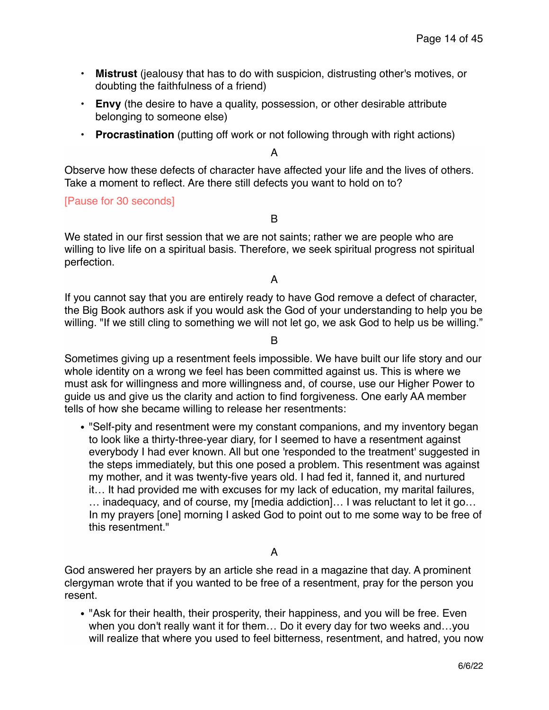- **Mistrust** (jealousy that has to do with suspicion, distrusting other's motives, or doubting the faithfulness of a friend)
- **Envy** (the desire to have a quality, possession, or other desirable attribute belonging to someone else)
- **Procrastination** (putting off work or not following through with right actions)

#### A

Observe how these defects of character have affected your life and the lives of others. Take a moment to reflect. Are there still defects you want to hold on to?

[Pause for 30 seconds]

B

We stated in our first session that we are not saints; rather we are people who are willing to live life on a spiritual basis. Therefore, we seek spiritual progress not spiritual perfection.

A

If you cannot say that you are entirely ready to have God remove a defect of character, the Big Book authors ask if you would ask the God of your understanding to help you be willing. "If we still cling to something we will not let go, we ask God to help us be willing."

B

Sometimes giving up a resentment feels impossible. We have built our life story and our whole identity on a wrong we feel has been committed against us. This is where we must ask for willingness and more willingness and, of course, use our Higher Power to guide us and give us the clarity and action to find forgiveness. One early AA member tells of how she became willing to release her resentments:

**•** "Self-pity and resentment were my constant companions, and my inventory began to look like a thirty-three-year diary, for I seemed to have a resentment against everybody I had ever known. All but one 'responded to the treatment' suggested in the steps immediately, but this one posed a problem. This resentment was against my mother, and it was twenty-five years old. I had fed it, fanned it, and nurtured it… It had provided me with excuses for my lack of education, my marital failures, … inadequacy, and of course, my [media addiction]… I was reluctant to let it go… In my prayers [one] morning I asked God to point out to me some way to be free of this resentment."

### A

God answered her prayers by an article she read in a magazine that day. A prominent clergyman wrote that if you wanted to be free of a resentment, pray for the person you resent.

**•** "Ask for their health, their prosperity, their happiness, and you will be free. Even when you don't really want it for them… Do it every day for two weeks and…you will realize that where you used to feel bitterness, resentment, and hatred, you now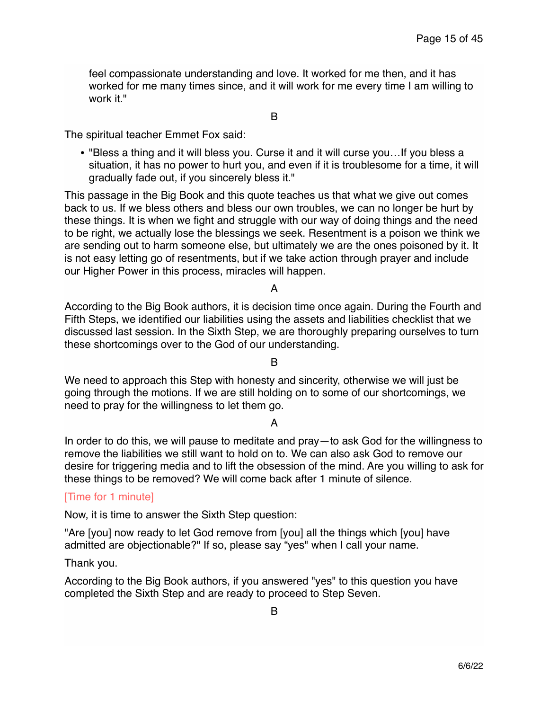feel compassionate understanding and love. It worked for me then, and it has worked for me many times since, and it will work for me every time I am willing to work it."

B

The spiritual teacher Emmet Fox said:

**•** "Bless a thing and it will bless you. Curse it and it will curse you…If you bless a situation, it has no power to hurt you, and even if it is troublesome for a time, it will gradually fade out, if you sincerely bless it."

This passage in the Big Book and this quote teaches us that what we give out comes back to us. If we bless others and bless our own troubles, we can no longer be hurt by these things. It is when we fight and struggle with our way of doing things and the need to be right, we actually lose the blessings we seek. Resentment is a poison we think we are sending out to harm someone else, but ultimately we are the ones poisoned by it. It is not easy letting go of resentments, but if we take action through prayer and include our Higher Power in this process, miracles will happen.

A

According to the Big Book authors, it is decision time once again. During the Fourth and Fifth Steps, we identified our liabilities using the assets and liabilities checklist that we discussed last session. In the Sixth Step, we are thoroughly preparing ourselves to turn these shortcomings over to the God of our understanding.

B

We need to approach this Step with honesty and sincerity, otherwise we will just be going through the motions. If we are still holding on to some of our shortcomings, we need to pray for the willingness to let them go.

### A

In order to do this, we will pause to meditate and pray—to ask God for the willingness to remove the liabilities we still want to hold on to. We can also ask God to remove our desire for triggering media and to lift the obsession of the mind. Are you willing to ask for these things to be removed? We will come back after 1 minute of silence.

### [Time for 1 minute]

Now, it is time to answer the Sixth Step question:

"Are [you] now ready to let God remove from [you] all the things which [you] have admitted are objectionable?" If so, please say "yes" when I call your name.

Thank you.

According to the Big Book authors, if you answered "yes" to this question you have completed the Sixth Step and are ready to proceed to Step Seven.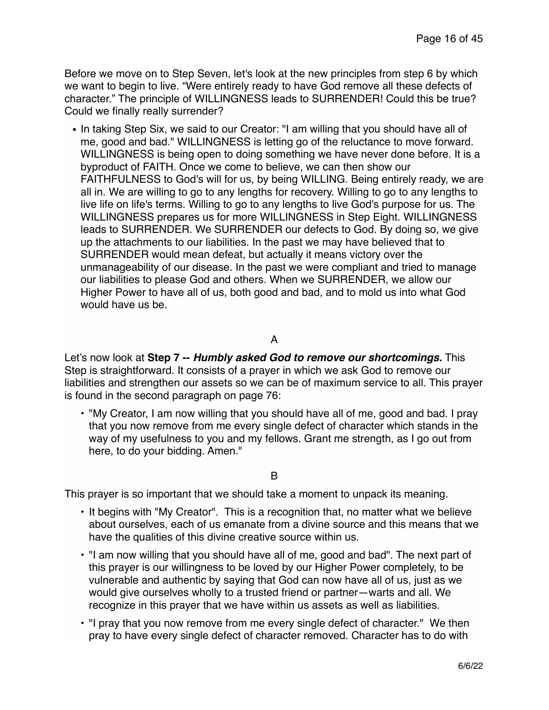Before we move on to Step Seven, let's look at the new principles from step 6 by which we want to begin to live. "Were entirely ready to have God remove all these defects of character." The principle of WILLINGNESS leads to SURRENDER! Could this be true? Could we finally really surrender?

**•** In taking Step Six, we said to our Creator: "I am willing that you should have all of me, good and bad." WILLINGNESS is letting go of the reluctance to move forward. WILLINGNESS is being open to doing something we have never done before. It is a byproduct of FAITH. Once we come to believe, we can then show our FAITHFULNESS to God's will for us, by being WILLING. Being entirely ready, we are all in. We are willing to go to any lengths for recovery. Willing to go to any lengths to live life on life's terms. Willing to go to any lengths to live God's purpose for us. The WILLINGNESS prepares us for more WILLINGNESS in Step Eight. WILLINGNESS leads to SURRENDER. We SURRENDER our defects to God. By doing so, we give up the attachments to our liabilities. In the past we may have believed that to SURRENDER would mean defeat, but actually it means victory over the unmanageability of our disease. In the past we were compliant and tried to manage our liabilities to please God and others. When we SURRENDER, we allow our Higher Power to have all of us, both good and bad, and to mold us into what God would have us be.

## A

Let's now look at **Step 7 --** *Humbly asked God to remove our shortcomings.* This Step is straightforward. It consists of a prayer in which we ask God to remove our liabilities and strengthen our assets so we can be of maximum service to all. This prayer is found in the second paragraph on page 76:

• "My Creator, I am now willing that you should have all of me, good and bad. I pray that you now remove from me every single defect of character which stands in the way of my usefulness to you and my fellows. Grant me strength, as I go out from here, to do your bidding. Amen."

#### B

This prayer is so important that we should take a moment to unpack its meaning.

- It begins with "My Creator". This is a recognition that, no matter what we believe about ourselves, each of us emanate from a divine source and this means that we have the qualities of this divine creative source within us.
- "I am now willing that you should have all of me, good and bad". The next part of this prayer is our willingness to be loved by our Higher Power completely, to be vulnerable and authentic by saying that God can now have all of us, just as we would give ourselves wholly to a trusted friend or partner—warts and all. We recognize in this prayer that we have within us assets as well as liabilities.
- "I pray that you now remove from me every single defect of character." We then pray to have every single defect of character removed. Character has to do with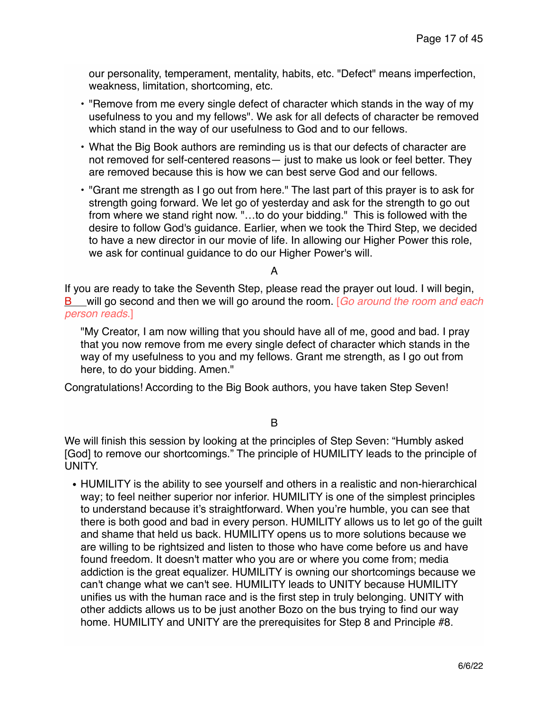our personality, temperament, mentality, habits, etc. "Defect" means imperfection, weakness, limitation, shortcoming, etc.

- "Remove from me every single defect of character which stands in the way of my usefulness to you and my fellows". We ask for all defects of character be removed which stand in the way of our usefulness to God and to our fellows.
- What the Big Book authors are reminding us is that our defects of character are not removed for self-centered reasons— just to make us look or feel better. They are removed because this is how we can best serve God and our fellows.
- "Grant me strength as I go out from here." The last part of this prayer is to ask for strength going forward. We let go of yesterday and ask for the strength to go out from where we stand right now. "…to do your bidding." This is followed with the desire to follow God's guidance. Earlier, when we took the Third Step, we decided to have a new director in our movie of life. In allowing our Higher Power this role, we ask for continual guidance to do our Higher Power's will.

#### A

If you are ready to take the Seventh Step, please read the prayer out loud. I will begin, B will go second and then we will go around the room. [*Go around the room and each person reads*.]

"My Creator, I am now willing that you should have all of me, good and bad. I pray that you now remove from me every single defect of character which stands in the way of my usefulness to you and my fellows. Grant me strength, as I go out from here, to do your bidding. Amen."

Congratulations! According to the Big Book authors, you have taken Step Seven!

B

We will finish this session by looking at the principles of Step Seven: "Humbly asked [God] to remove our shortcomings." The principle of HUMILITY leads to the principle of UNITY.

**•** HUMILITY is the ability to see yourself and others in a realistic and non-hierarchical way; to feel neither superior nor inferior. HUMILITY is one of the simplest principles to understand because it's straightforward. When you're humble, you can see that there is both good and bad in every person. HUMILITY allows us to let go of the guilt and shame that held us back. HUMILITY opens us to more solutions because we are willing to be rightsized and listen to those who have come before us and have found freedom. It doesn't matter who you are or where you come from; media addiction is the great equalizer. HUMILITY is owning our shortcomings because we can't change what we can't see. HUMILITY leads to UNITY because HUMILITY unifies us with the human race and is the first step in truly belonging. UNITY with other addicts allows us to be just another Bozo on the bus trying to find our way home. HUMILITY and UNITY are the prerequisites for Step 8 and Principle #8.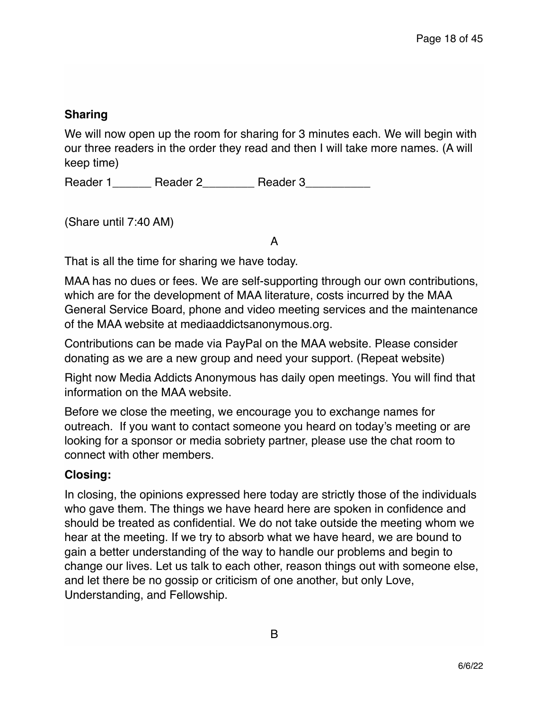# **Sharing**

We will now open up the room for sharing for 3 minutes each. We will begin with our three readers in the order they read and then I will take more names. (A will keep time)

Reader 1 \_\_\_\_\_\_ Reader 2 \_\_\_\_\_\_\_\_ Reader 3

(Share until 7:40 AM)

A

That is all the time for sharing we have today.

MAA has no dues or fees. We are self-supporting through our own contributions, which are for the development of MAA literature, costs incurred by the MAA General Service Board, phone and video meeting services and the maintenance of the MAA website at mediaaddictsanonymous.org.

Contributions can be made via PayPal on the MAA website. Please consider donating as we are a new group and need your support. (Repeat website)

Right now Media Addicts Anonymous has daily open meetings. You will find that information on the MAA website.

Before we close the meeting, we encourage you to exchange names for outreach. If you want to contact someone you heard on today's meeting or are looking for a sponsor or media sobriety partner, please use the chat room to connect with other members.

# **Closing:**

In closing, the opinions expressed here today are strictly those of the individuals who gave them. The things we have heard here are spoken in confidence and should be treated as confidential. We do not take outside the meeting whom we hear at the meeting. If we try to absorb what we have heard, we are bound to gain a better understanding of the way to handle our problems and begin to change our lives. Let us talk to each other, reason things out with someone else, and let there be no gossip or criticism of one another, but only Love, Understanding, and Fellowship.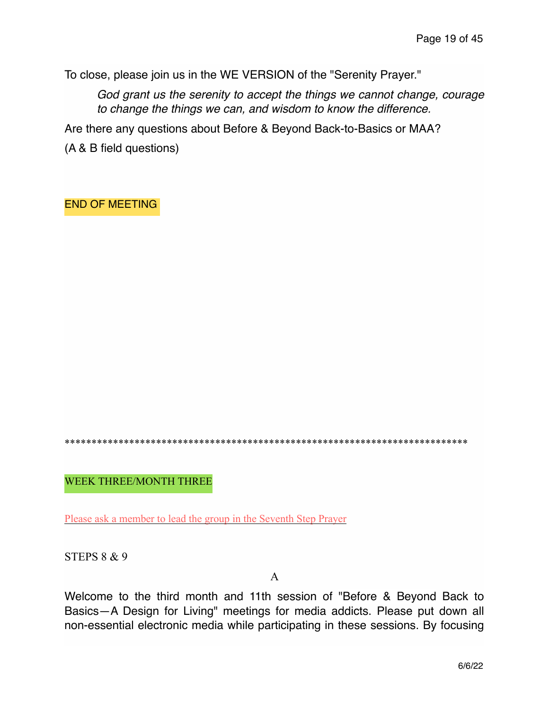To close, please join us in the WE VERSION of the "Serenity Prayer."

*God grant us the serenity to accept the things we cannot change, courage to change the things we can, and wisdom to know the difference.*

Are there any questions about Before & Beyond Back-to-Basics or MAA?

(A & B field questions)

END OF MEETING

\*\*\*\*\*\*\*\*\*\*\*\*\*\*\*\*\*\*\*\*\*\*\*\*\*\*\*\*\*\*\*\*\*\*\*\*\*\*\*\*\*\*\*\*\*\*\*\*\*\*\*\*\*\*\*\*\*\*\*\*\*\*\*\*\*\*\*\*\*\*\*\*\*\*\*

WEEK THREE/MONTH THREE

Please ask a member to lead the group in the Seventh Step Prayer

STEPS 8 & 9

A

Welcome to the third month and 11th session of "Before & Beyond Back to Basics—A Design for Living" meetings for media addicts. Please put down all non-essential electronic media while participating in these sessions. By focusing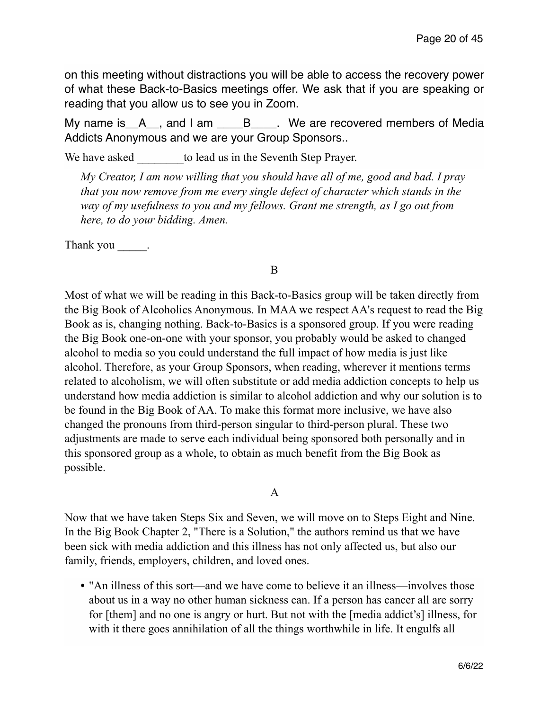on this meeting without distractions you will be able to access the recovery power of what these Back-to-Basics meetings offer. We ask that if you are speaking or reading that you allow us to see you in Zoom.

My name is  $A$ , and I am  $B$ . We are recovered members of Media Addicts Anonymous and we are your Group Sponsors..

We have asked to lead us in the Seventh Step Prayer.

*My Creator, I am now willing that you should have all of me, good and bad. I pray that you now remove from me every single defect of character which stands in the way of my usefulness to you and my fellows. Grant me strength, as I go out from here, to do your bidding. Amen.* 

Thank you \_\_\_\_\_\_.

## B

Most of what we will be reading in this Back-to-Basics group will be taken directly from the Big Book of Alcoholics Anonymous. In MAA we respect AA's request to read the Big Book as is, changing nothing. Back-to-Basics is a sponsored group. If you were reading the Big Book one-on-one with your sponsor, you probably would be asked to changed alcohol to media so you could understand the full impact of how media is just like alcohol. Therefore, as your Group Sponsors, when reading, wherever it mentions terms related to alcoholism, we will often substitute or add media addiction concepts to help us understand how media addiction is similar to alcohol addiction and why our solution is to be found in the Big Book of AA. To make this format more inclusive, we have also changed the pronouns from third-person singular to third-person plural. These two adjustments are made to serve each individual being sponsored both personally and in this sponsored group as a whole, to obtain as much benefit from the Big Book as possible.

# A

Now that we have taken Steps Six and Seven, we will move on to Steps Eight and Nine. In the Big Book Chapter 2, "There is a Solution," the authors remind us that we have been sick with media addiction and this illness has not only affected us, but also our family, friends, employers, children, and loved ones.

• "An illness of this sort—and we have come to believe it an illness—involves those about us in a way no other human sickness can. If a person has cancer all are sorry for [them] and no one is angry or hurt. But not with the [media addict's] illness, for with it there goes annihilation of all the things worthwhile in life. It engulfs all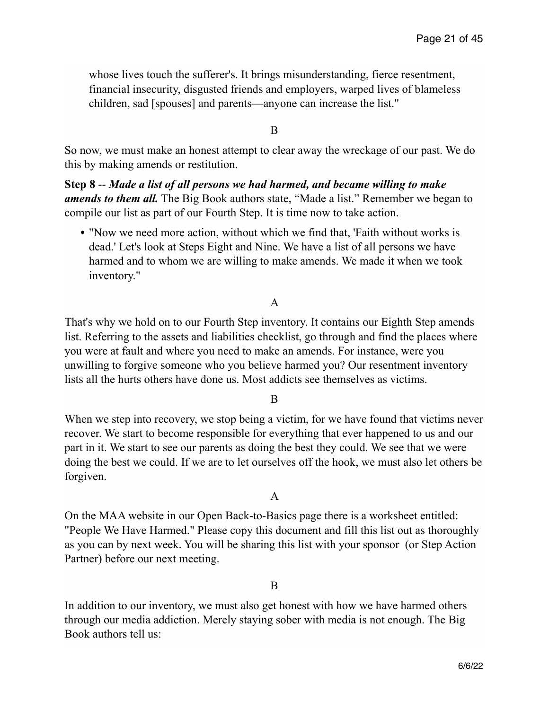whose lives touch the sufferer's. It brings misunderstanding, fierce resentment, financial insecurity, disgusted friends and employers, warped lives of blameless children, sad [spouses] and parents—anyone can increase the list."

B

So now, we must make an honest attempt to clear away the wreckage of our past. We do this by making amends or restitution.

**Step 8** -- *Made a list of all persons we had harmed, and became willing to make amends to them all.* The Big Book authors state, "Made a list." Remember we began to compile our list as part of our Fourth Step. It is time now to take action.

**•** "Now we need more action, without which we find that, 'Faith without works is dead.' Let's look at Steps Eight and Nine. We have a list of all persons we have harmed and to whom we are willing to make amends. We made it when we took inventory."

## A

That's why we hold on to our Fourth Step inventory. It contains our Eighth Step amends list. Referring to the assets and liabilities checklist, go through and find the places where you were at fault and where you need to make an amends. For instance, were you unwilling to forgive someone who you believe harmed you? Our resentment inventory lists all the hurts others have done us. Most addicts see themselves as victims.

### B

When we step into recovery, we stop being a victim, for we have found that victims never recover. We start to become responsible for everything that ever happened to us and our part in it. We start to see our parents as doing the best they could. We see that we were doing the best we could. If we are to let ourselves off the hook, we must also let others be forgiven.

### A

On the MAA website in our Open Back-to-Basics page there is a worksheet entitled: "People We Have Harmed." Please copy this document and fill this list out as thoroughly as you can by next week. You will be sharing this list with your sponsor (or Step Action Partner) before our next meeting.

### B

In addition to our inventory, we must also get honest with how we have harmed others through our media addiction. Merely staying sober with media is not enough. The Big Book authors tell us: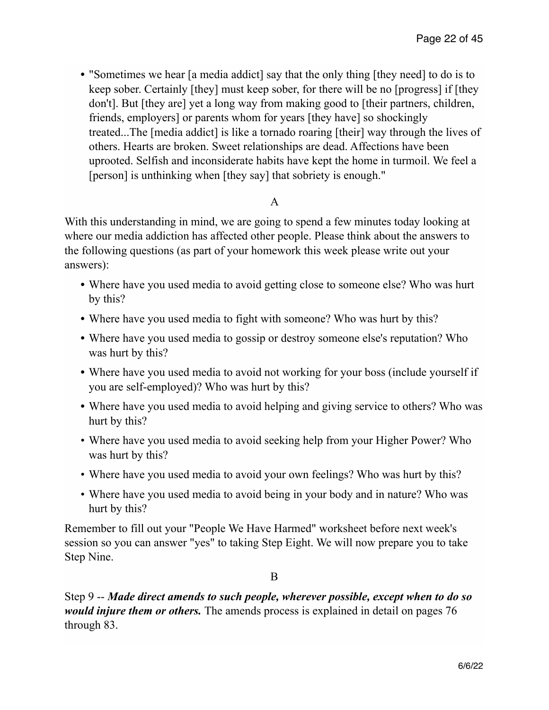**•** "Sometimes we hear [a media addict] say that the only thing [they need] to do is to keep sober. Certainly [they] must keep sober, for there will be no [progress] if [they don't]. But [they are] yet a long way from making good to [their partners, children, friends, employers] or parents whom for years [they have] so shockingly treated...The [media addict] is like a tornado roaring [their] way through the lives of others. Hearts are broken. Sweet relationships are dead. Affections have been uprooted. Selfish and inconsiderate habits have kept the home in turmoil. We feel a [person] is unthinking when [they say] that sobriety is enough."

# A

With this understanding in mind, we are going to spend a few minutes today looking at where our media addiction has affected other people. Please think about the answers to the following questions (as part of your homework this week please write out your answers):

- **•** Where have you used media to avoid getting close to someone else? Who was hurt by this?
- **•** Where have you used media to fight with someone? Who was hurt by this?
- **•** Where have you used media to gossip or destroy someone else's reputation? Who was hurt by this?
- **•** Where have you used media to avoid not working for your boss (include yourself if you are self-employed)? Who was hurt by this?
- **•** Where have you used media to avoid helping and giving service to others? Who was hurt by this?
- Where have you used media to avoid seeking help from your Higher Power? Who was hurt by this?
- Where have you used media to avoid your own feelings? Who was hurt by this?
- Where have you used media to avoid being in your body and in nature? Who was hurt by this?

Remember to fill out your "People We Have Harmed" worksheet before next week's session so you can answer "yes" to taking Step Eight. We will now prepare you to take Step Nine.

B

Step 9 -- *Made direct amends to such people, wherever possible, except when to do so would injure them or others.* The amends process is explained in detail on pages 76 through 83.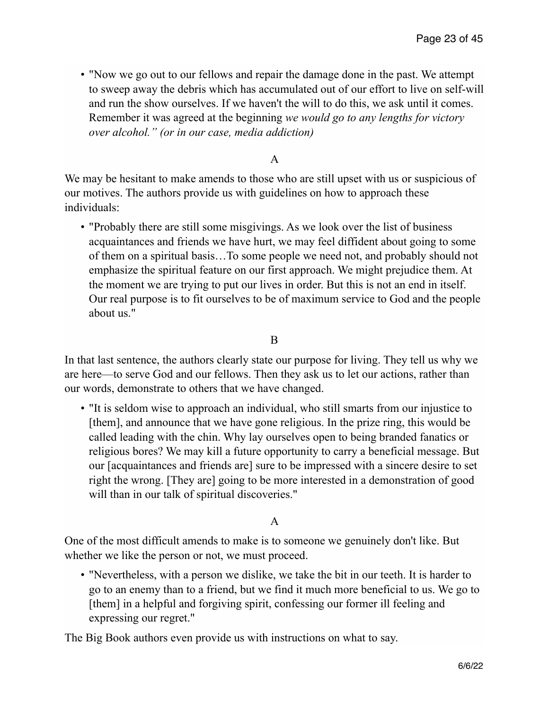• "Now we go out to our fellows and repair the damage done in the past. We attempt to sweep away the debris which has accumulated out of our effort to live on self-will and run the show ourselves. If we haven't the will to do this, we ask until it comes. Remember it was agreed at the beginning *we would go to any lengths for victory over alcohol." (or in our case, media addiction)*

# A

We may be hesitant to make amends to those who are still upset with us or suspicious of our motives. The authors provide us with guidelines on how to approach these individuals:

• "Probably there are still some misgivings. As we look over the list of business acquaintances and friends we have hurt, we may feel diffident about going to some of them on a spiritual basis…To some people we need not, and probably should not emphasize the spiritual feature on our first approach. We might prejudice them. At the moment we are trying to put our lives in order. But this is not an end in itself. Our real purpose is to fit ourselves to be of maximum service to God and the people about us."

## B

In that last sentence, the authors clearly state our purpose for living. They tell us why we are here—to serve God and our fellows. Then they ask us to let our actions, rather than our words, demonstrate to others that we have changed.

• "It is seldom wise to approach an individual, who still smarts from our injustice to [them], and announce that we have gone religious. In the prize ring, this would be called leading with the chin. Why lay ourselves open to being branded fanatics or religious bores? We may kill a future opportunity to carry a beneficial message. But our [acquaintances and friends are] sure to be impressed with a sincere desire to set right the wrong. [They are] going to be more interested in a demonstration of good will than in our talk of spiritual discoveries."

# A

One of the most difficult amends to make is to someone we genuinely don't like. But whether we like the person or not, we must proceed.

• "Nevertheless, with a person we dislike, we take the bit in our teeth. It is harder to go to an enemy than to a friend, but we find it much more beneficial to us. We go to [them] in a helpful and forgiving spirit, confessing our former ill feeling and expressing our regret."

The Big Book authors even provide us with instructions on what to say.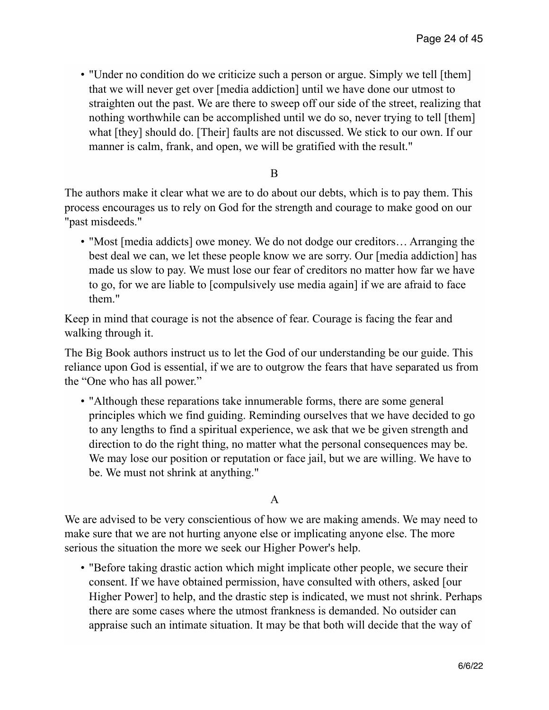• "Under no condition do we criticize such a person or argue. Simply we tell [them] that we will never get over [media addiction] until we have done our utmost to straighten out the past. We are there to sweep off our side of the street, realizing that nothing worthwhile can be accomplished until we do so, never trying to tell [them] what [they] should do. [Their] faults are not discussed. We stick to our own. If our manner is calm, frank, and open, we will be gratified with the result."

### B

The authors make it clear what we are to do about our debts, which is to pay them. This process encourages us to rely on God for the strength and courage to make good on our "past misdeeds."

• "Most [media addicts] owe money. We do not dodge our creditors... Arranging the best deal we can, we let these people know we are sorry. Our [media addiction] has made us slow to pay. We must lose our fear of creditors no matter how far we have to go, for we are liable to [compulsively use media again] if we are afraid to face them."

Keep in mind that courage is not the absence of fear. Courage is facing the fear and walking through it.

The Big Book authors instruct us to let the God of our understanding be our guide. This reliance upon God is essential, if we are to outgrow the fears that have separated us from the "One who has all power."

• "Although these reparations take innumerable forms, there are some general principles which we find guiding. Reminding ourselves that we have decided to go to any lengths to find a spiritual experience, we ask that we be given strength and direction to do the right thing, no matter what the personal consequences may be. We may lose our position or reputation or face jail, but we are willing. We have to be. We must not shrink at anything."

# A

We are advised to be very conscientious of how we are making amends. We may need to make sure that we are not hurting anyone else or implicating anyone else. The more serious the situation the more we seek our Higher Power's help.

• "Before taking drastic action which might implicate other people, we secure their consent. If we have obtained permission, have consulted with others, asked [our Higher Power] to help, and the drastic step is indicated, we must not shrink. Perhaps there are some cases where the utmost frankness is demanded. No outsider can appraise such an intimate situation. It may be that both will decide that the way of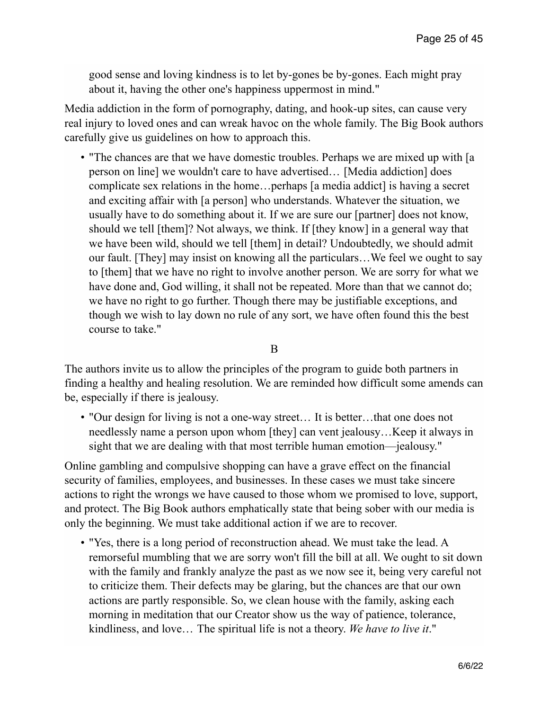good sense and loving kindness is to let by-gones be by-gones. Each might pray about it, having the other one's happiness uppermost in mind."

Media addiction in the form of pornography, dating, and hook-up sites, can cause very real injury to loved ones and can wreak havoc on the whole family. The Big Book authors carefully give us guidelines on how to approach this.

• "The chances are that we have domestic troubles. Perhaps we are mixed up with [a person on line] we wouldn't care to have advertised… [Media addiction] does complicate sex relations in the home…perhaps [a media addict] is having a secret and exciting affair with [a person] who understands. Whatever the situation, we usually have to do something about it. If we are sure our [partner] does not know, should we tell [them]? Not always, we think. If [they know] in a general way that we have been wild, should we tell [them] in detail? Undoubtedly, we should admit our fault. [They] may insist on knowing all the particulars…We feel we ought to say to [them] that we have no right to involve another person. We are sorry for what we have done and, God willing, it shall not be repeated. More than that we cannot do; we have no right to go further. Though there may be justifiable exceptions, and though we wish to lay down no rule of any sort, we have often found this the best course to take."

B

The authors invite us to allow the principles of the program to guide both partners in finding a healthy and healing resolution. We are reminded how difficult some amends can be, especially if there is jealousy.

• "Our design for living is not a one-way street... It is better...that one does not needlessly name a person upon whom [they] can vent jealousy…Keep it always in sight that we are dealing with that most terrible human emotion—jealousy."

Online gambling and compulsive shopping can have a grave effect on the financial security of families, employees, and businesses. In these cases we must take sincere actions to right the wrongs we have caused to those whom we promised to love, support, and protect. The Big Book authors emphatically state that being sober with our media is only the beginning. We must take additional action if we are to recover.

• "Yes, there is a long period of reconstruction ahead. We must take the lead. A remorseful mumbling that we are sorry won't fill the bill at all. We ought to sit down with the family and frankly analyze the past as we now see it, being very careful not to criticize them. Their defects may be glaring, but the chances are that our own actions are partly responsible. So, we clean house with the family, asking each morning in meditation that our Creator show us the way of patience, tolerance, kindliness, and love… The spiritual life is not a theory. *We have to live it*."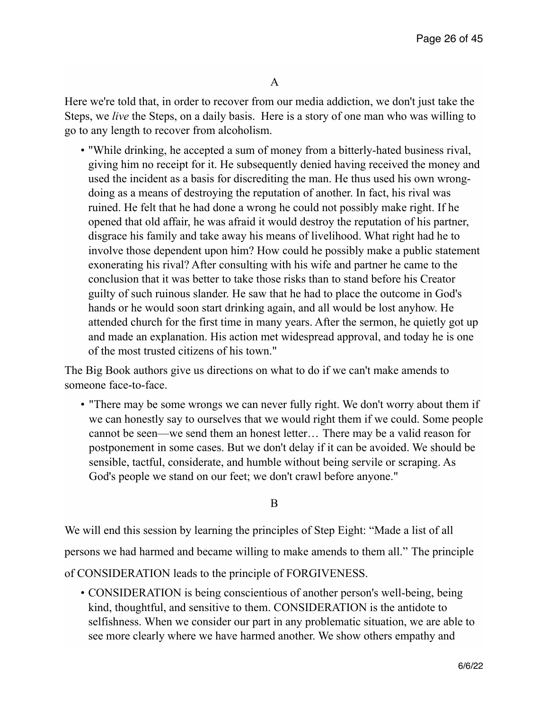Here we're told that, in order to recover from our media addiction, we don't just take the Steps, we *live* the Steps, on a daily basis. Here is a story of one man who was willing to go to any length to recover from alcoholism.

• "While drinking, he accepted a sum of money from a bitterly-hated business rival, giving him no receipt for it. He subsequently denied having received the money and used the incident as a basis for discrediting the man. He thus used his own wrongdoing as a means of destroying the reputation of another. In fact, his rival was ruined. He felt that he had done a wrong he could not possibly make right. If he opened that old affair, he was afraid it would destroy the reputation of his partner, disgrace his family and take away his means of livelihood. What right had he to involve those dependent upon him? How could he possibly make a public statement exonerating his rival? After consulting with his wife and partner he came to the conclusion that it was better to take those risks than to stand before his Creator guilty of such ruinous slander. He saw that he had to place the outcome in God's hands or he would soon start drinking again, and all would be lost anyhow. He attended church for the first time in many years. After the sermon, he quietly got up and made an explanation. His action met widespread approval, and today he is one of the most trusted citizens of his town."

The Big Book authors give us directions on what to do if we can't make amends to someone face-to-face.

• "There may be some wrongs we can never fully right. We don't worry about them if we can honestly say to ourselves that we would right them if we could. Some people cannot be seen—we send them an honest letter… There may be a valid reason for postponement in some cases. But we don't delay if it can be avoided. We should be sensible, tactful, considerate, and humble without being servile or scraping. As God's people we stand on our feet; we don't crawl before anyone."

B

We will end this session by learning the principles of Step Eight: "Made a list of all persons we had harmed and became willing to make amends to them all." The principle of CONSIDERATION leads to the principle of FORGIVENESS.

• CONSIDERATION is being conscientious of another person's well-being, being kind, thoughtful, and sensitive to them. CONSIDERATION is the antidote to selfishness. When we consider our part in any problematic situation, we are able to see more clearly where we have harmed another. We show others empathy and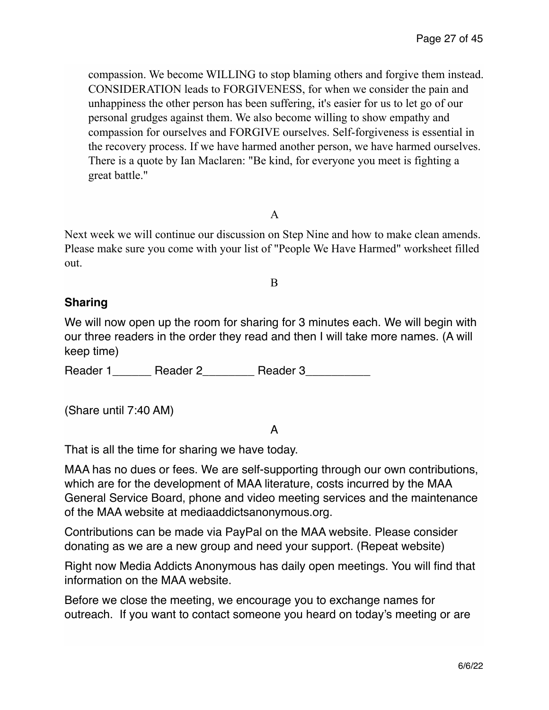compassion. We become WILLING to stop blaming others and forgive them instead. CONSIDERATION leads to FORGIVENESS, for when we consider the pain and unhappiness the other person has been suffering, it's easier for us to let go of our personal grudges against them. We also become willing to show empathy and compassion for ourselves and FORGIVE ourselves. Self-forgiveness is essential in the recovery process. If we have harmed another person, we have harmed ourselves. There is a quote by Ian Maclaren: "Be kind, for everyone you meet is fighting a great battle."

# A

Next week we will continue our discussion on Step Nine and how to make clean amends. Please make sure you come with your list of "People We Have Harmed" worksheet filled out.

B

# **Sharing**

We will now open up the room for sharing for 3 minutes each. We will begin with our three readers in the order they read and then I will take more names. (A will keep time)

Reader 1\_\_\_\_\_\_\_ Reader 2\_\_\_\_\_\_\_\_\_ Reader 3\_\_\_\_\_\_\_\_\_\_

(Share until 7:40 AM)

# A

That is all the time for sharing we have today.

MAA has no dues or fees. We are self-supporting through our own contributions, which are for the development of MAA literature, costs incurred by the MAA General Service Board, phone and video meeting services and the maintenance of the MAA website at mediaaddictsanonymous.org.

Contributions can be made via PayPal on the MAA website. Please consider donating as we are a new group and need your support. (Repeat website)

Right now Media Addicts Anonymous has daily open meetings. You will find that information on the MAA website.

Before we close the meeting, we encourage you to exchange names for outreach. If you want to contact someone you heard on today's meeting or are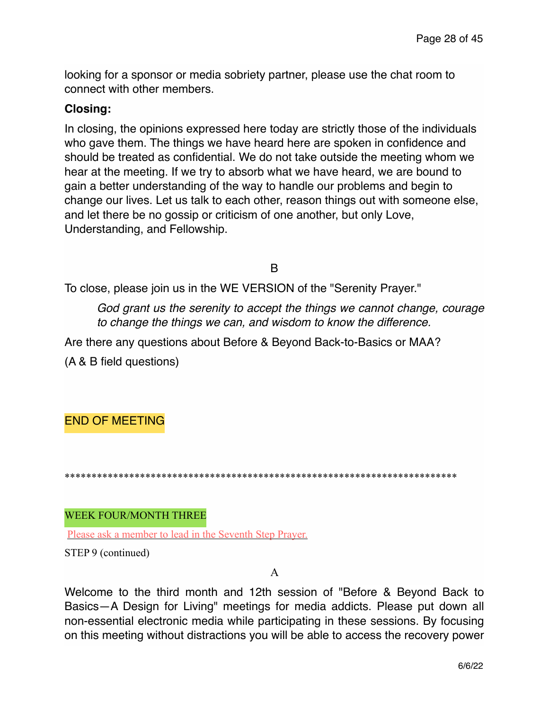looking for a sponsor or media sobriety partner, please use the chat room to connect with other members.

# **Closing:**

In closing, the opinions expressed here today are strictly those of the individuals who gave them. The things we have heard here are spoken in confidence and should be treated as confidential. We do not take outside the meeting whom we hear at the meeting. If we try to absorb what we have heard, we are bound to gain a better understanding of the way to handle our problems and begin to change our lives. Let us talk to each other, reason things out with someone else, and let there be no gossip or criticism of one another, but only Love, Understanding, and Fellowship.

B

To close, please join us in the WE VERSION of the "Serenity Prayer."

*God grant us the serenity to accept the things we cannot change, courage to change the things we can, and wisdom to know the difference.*

Are there any questions about Before & Beyond Back-to-Basics or MAA?

(A & B field questions)

END OF MEETING

\*\*\*\*\*\*\*\*\*\*\*\*\*\*\*\*\*\*\*\*\*\*\*\*\*\*\*\*\*\*\*\*\*\*\*\*\*\*\*\*\*\*\*\*\*\*\*\*\*\*\*\*\*\*\*\*\*\*\*\*\*\*\*\*\*\*\*\*\*\*\*\*\*

WEEK FOUR/MONTH THREE

Please ask a member to lead in the Seventh Step Prayer.

STEP 9 (continued)

### A

Welcome to the third month and 12th session of "Before & Beyond Back to Basics—A Design for Living" meetings for media addicts. Please put down all non-essential electronic media while participating in these sessions. By focusing on this meeting without distractions you will be able to access the recovery power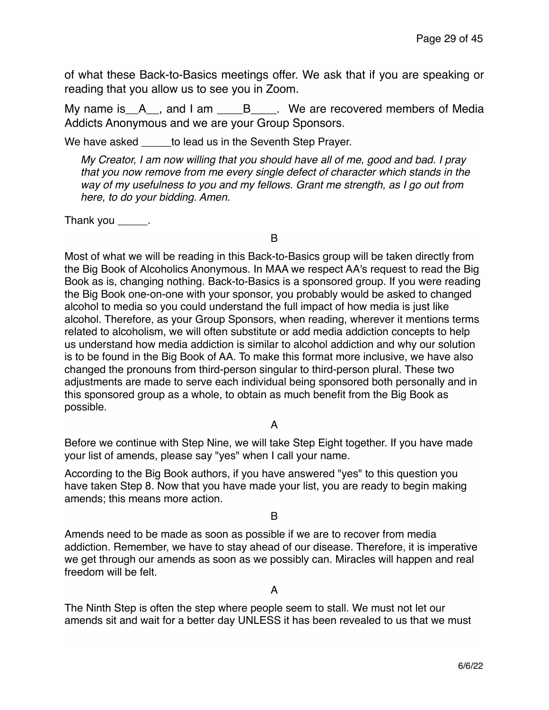of what these Back-to-Basics meetings offer. We ask that if you are speaking or reading that you allow us to see you in Zoom.

My name is A<sub>\_\_</sub>, and I am \_\_\_\_B<sub>\_\_\_\_</sub>. We are recovered members of Media Addicts Anonymous and we are your Group Sponsors.

We have asked to lead us in the Seventh Step Prayer.

*My Creator, I am now willing that you should have all of me, good and bad. I pray that you now remove from me every single defect of character which stands in the way of my usefulness to you and my fellows. Grant me strength, as I go out from here, to do your bidding. Amen.*

Thank you  $\_\_\_\_\_\$ .

B

Most of what we will be reading in this Back-to-Basics group will be taken directly from the Big Book of Alcoholics Anonymous. In MAA we respect AA's request to read the Big Book as is, changing nothing. Back-to-Basics is a sponsored group. If you were reading the Big Book one-on-one with your sponsor, you probably would be asked to changed alcohol to media so you could understand the full impact of how media is just like alcohol. Therefore, as your Group Sponsors, when reading, wherever it mentions terms related to alcoholism, we will often substitute or add media addiction concepts to help us understand how media addiction is similar to alcohol addiction and why our solution is to be found in the Big Book of AA. To make this format more inclusive, we have also changed the pronouns from third-person singular to third-person plural. These two adjustments are made to serve each individual being sponsored both personally and in this sponsored group as a whole, to obtain as much benefit from the Big Book as possible.

## A

Before we continue with Step Nine, we will take Step Eight together. If you have made your list of amends, please say "yes" when I call your name.

According to the Big Book authors, if you have answered "yes" to this question you have taken Step 8. Now that you have made your list, you are ready to begin making amends; this means more action.

#### B

Amends need to be made as soon as possible if we are to recover from media addiction. Remember, we have to stay ahead of our disease. Therefore, it is imperative we get through our amends as soon as we possibly can. Miracles will happen and real freedom will be felt.

A

The Ninth Step is often the step where people seem to stall. We must not let our amends sit and wait for a better day UNLESS it has been revealed to us that we must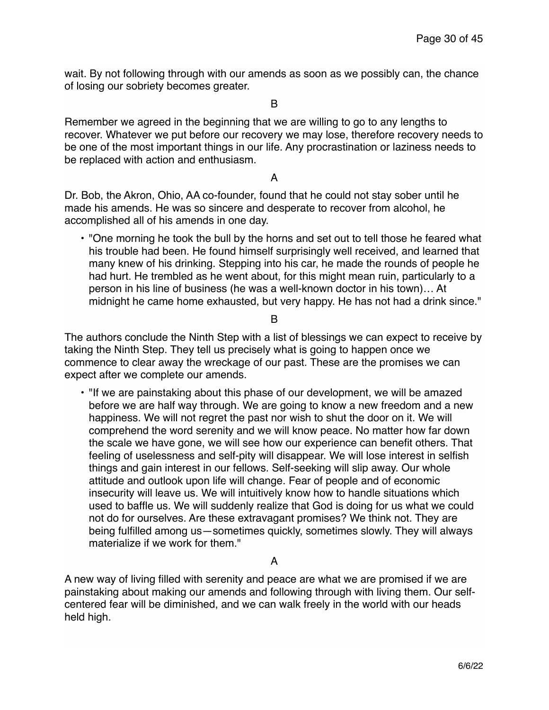wait. By not following through with our amends as soon as we possibly can, the chance of losing our sobriety becomes greater.

B

Remember we agreed in the beginning that we are willing to go to any lengths to recover. Whatever we put before our recovery we may lose, therefore recovery needs to be one of the most important things in our life. Any procrastination or laziness needs to be replaced with action and enthusiasm.

A

Dr. Bob, the Akron, Ohio, AA co-founder, found that he could not stay sober until he made his amends. He was so sincere and desperate to recover from alcohol, he accomplished all of his amends in one day.

• "One morning he took the bull by the horns and set out to tell those he feared what his trouble had been. He found himself surprisingly well received, and learned that many knew of his drinking. Stepping into his car, he made the rounds of people he had hurt. He trembled as he went about, for this might mean ruin, particularly to a person in his line of business (he was a well-known doctor in his town)… At midnight he came home exhausted, but very happy. He has not had a drink since."

B

The authors conclude the Ninth Step with a list of blessings we can expect to receive by taking the Ninth Step. They tell us precisely what is going to happen once we commence to clear away the wreckage of our past. These are the promises we can expect after we complete our amends.

• "If we are painstaking about this phase of our development, we will be amazed before we are half way through. We are going to know a new freedom and a new happiness. We will not regret the past nor wish to shut the door on it. We will comprehend the word serenity and we will know peace. No matter how far down the scale we have gone, we will see how our experience can benefit others. That feeling of uselessness and self-pity will disappear. We will lose interest in selfish things and gain interest in our fellows. Self-seeking will slip away. Our whole attitude and outlook upon life will change. Fear of people and of economic insecurity will leave us. We will intuitively know how to handle situations which used to baffle us. We will suddenly realize that God is doing for us what we could not do for ourselves. Are these extravagant promises? We think not. They are being fulfilled among us—sometimes quickly, sometimes slowly. They will always materialize if we work for them."

A

A new way of living filled with serenity and peace are what we are promised if we are painstaking about making our amends and following through with living them. Our selfcentered fear will be diminished, and we can walk freely in the world with our heads held high.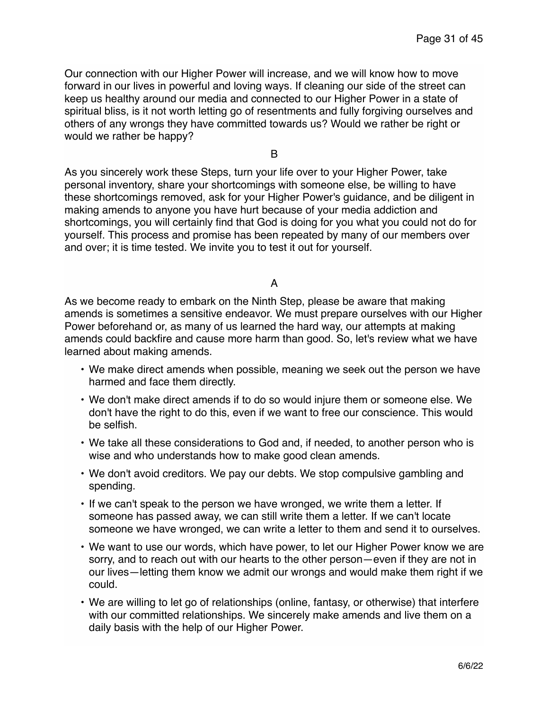Our connection with our Higher Power will increase, and we will know how to move forward in our lives in powerful and loving ways. If cleaning our side of the street can keep us healthy around our media and connected to our Higher Power in a state of spiritual bliss, is it not worth letting go of resentments and fully forgiving ourselves and others of any wrongs they have committed towards us? Would we rather be right or would we rather be happy?

B

As you sincerely work these Steps, turn your life over to your Higher Power, take personal inventory, share your shortcomings with someone else, be willing to have these shortcomings removed, ask for your Higher Power's guidance, and be diligent in making amends to anyone you have hurt because of your media addiction and shortcomings, you will certainly find that God is doing for you what you could not do for yourself. This process and promise has been repeated by many of our members over and over; it is time tested. We invite you to test it out for yourself.

A

As we become ready to embark on the Ninth Step, please be aware that making amends is sometimes a sensitive endeavor. We must prepare ourselves with our Higher Power beforehand or, as many of us learned the hard way, our attempts at making amends could backfire and cause more harm than good. So, let's review what we have learned about making amends.

- We make direct amends when possible, meaning we seek out the person we have harmed and face them directly.
- We don't make direct amends if to do so would injure them or someone else. We don't have the right to do this, even if we want to free our conscience. This would be selfish.
- We take all these considerations to God and, if needed, to another person who is wise and who understands how to make good clean amends.
- We don't avoid creditors. We pay our debts. We stop compulsive gambling and spending.
- If we can't speak to the person we have wronged, we write them a letter. If someone has passed away, we can still write them a letter. If we can't locate someone we have wronged, we can write a letter to them and send it to ourselves.
- We want to use our words, which have power, to let our Higher Power know we are sorry, and to reach out with our hearts to the other person—even if they are not in our lives—letting them know we admit our wrongs and would make them right if we could.
- We are willing to let go of relationships (online, fantasy, or otherwise) that interfere with our committed relationships. We sincerely make amends and live them on a daily basis with the help of our Higher Power.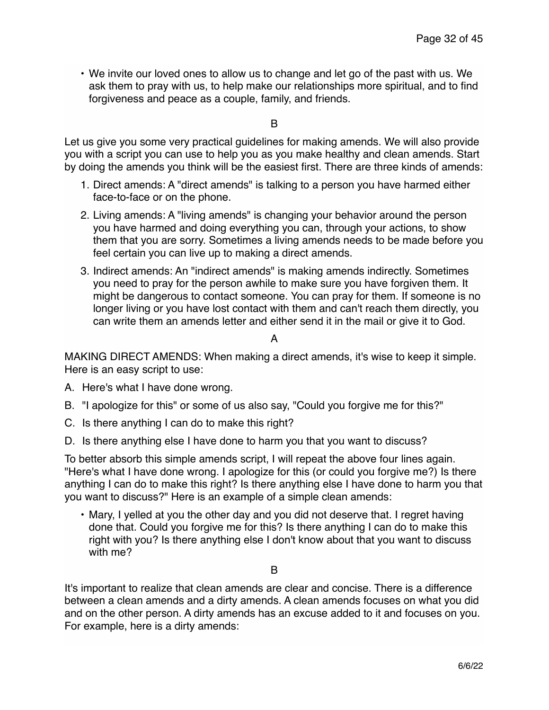• We invite our loved ones to allow us to change and let go of the past with us. We ask them to pray with us, to help make our relationships more spiritual, and to find forgiveness and peace as a couple, family, and friends.

B

Let us give you some very practical guidelines for making amends. We will also provide you with a script you can use to help you as you make healthy and clean amends. Start by doing the amends you think will be the easiest first. There are three kinds of amends:

- 1. Direct amends: A "direct amends" is talking to a person you have harmed either face-to-face or on the phone.
- 2. Living amends: A "living amends" is changing your behavior around the person you have harmed and doing everything you can, through your actions, to show them that you are sorry. Sometimes a living amends needs to be made before you feel certain you can live up to making a direct amends.
- 3. Indirect amends: An "indirect amends" is making amends indirectly. Sometimes you need to pray for the person awhile to make sure you have forgiven them. It might be dangerous to contact someone. You can pray for them. If someone is no longer living or you have lost contact with them and can't reach them directly, you can write them an amends letter and either send it in the mail or give it to God.

A

MAKING DIRECT AMENDS: When making a direct amends, it's wise to keep it simple. Here is an easy script to use:

- A. Here's what I have done wrong.
- B. "I apologize for this" or some of us also say, "Could you forgive me for this?"
- C. Is there anything I can do to make this right?
- D. Is there anything else I have done to harm you that you want to discuss?

To better absorb this simple amends script, I will repeat the above four lines again. "Here's what I have done wrong. I apologize for this (or could you forgive me?) Is there anything I can do to make this right? Is there anything else I have done to harm you that you want to discuss?" Here is an example of a simple clean amends:

• Mary, I yelled at you the other day and you did not deserve that. I regret having done that. Could you forgive me for this? Is there anything I can do to make this right with you? Is there anything else I don't know about that you want to discuss with me?

B

It's important to realize that clean amends are clear and concise. There is a difference between a clean amends and a dirty amends. A clean amends focuses on what you did and on the other person. A dirty amends has an excuse added to it and focuses on you. For example, here is a dirty amends: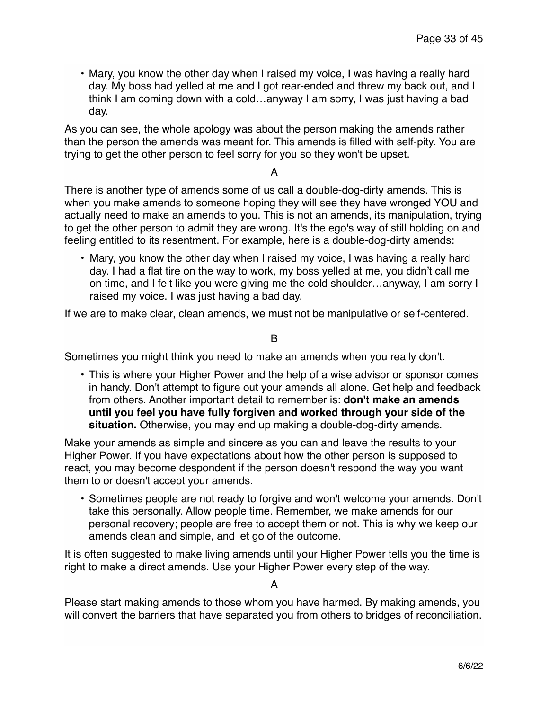• Mary, you know the other day when I raised my voice, I was having a really hard day. My boss had yelled at me and I got rear-ended and threw my back out, and I think I am coming down with a cold…anyway I am sorry, I was just having a bad day.

As you can see, the whole apology was about the person making the amends rather than the person the amends was meant for. This amends is filled with self-pity. You are trying to get the other person to feel sorry for you so they won't be upset.

A

There is another type of amends some of us call a double-dog-dirty amends. This is when you make amends to someone hoping they will see they have wronged YOU and actually need to make an amends to you. This is not an amends, its manipulation, trying to get the other person to admit they are wrong. It's the ego's way of still holding on and feeling entitled to its resentment. For example, here is a double-dog-dirty amends:

• Mary, you know the other day when I raised my voice, I was having a really hard day. I had a flat tire on the way to work, my boss yelled at me, you didn't call me on time, and I felt like you were giving me the cold shoulder…anyway, I am sorry I raised my voice. I was just having a bad day.

If we are to make clear, clean amends, we must not be manipulative or self-centered.

#### B

Sometimes you might think you need to make an amends when you really don't.

• This is where your Higher Power and the help of a wise advisor or sponsor comes in handy. Don't attempt to figure out your amends all alone. Get help and feedback from others. Another important detail to remember is: **don't make an amends until you feel you have fully forgiven and worked through your side of the situation.** Otherwise, you may end up making a double-dog-dirty amends.

Make your amends as simple and sincere as you can and leave the results to your Higher Power. If you have expectations about how the other person is supposed to react, you may become despondent if the person doesn't respond the way you want them to or doesn't accept your amends.

• Sometimes people are not ready to forgive and won't welcome your amends. Don't take this personally. Allow people time. Remember, we make amends for our personal recovery; people are free to accept them or not. This is why we keep our amends clean and simple, and let go of the outcome.

It is often suggested to make living amends until your Higher Power tells you the time is right to make a direct amends. Use your Higher Power every step of the way.

A

Please start making amends to those whom you have harmed. By making amends, you will convert the barriers that have separated you from others to bridges of reconciliation.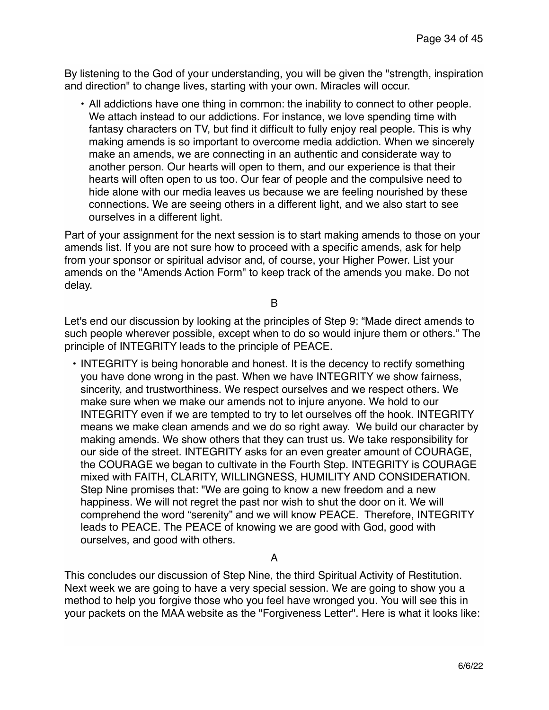By listening to the God of your understanding, you will be given the "strength, inspiration and direction" to change lives, starting with your own. Miracles will occur.

• All addictions have one thing in common: the inability to connect to other people. We attach instead to our addictions. For instance, we love spending time with fantasy characters on TV, but find it difficult to fully enjoy real people. This is why making amends is so important to overcome media addiction. When we sincerely make an amends, we are connecting in an authentic and considerate way to another person. Our hearts will open to them, and our experience is that their hearts will often open to us too. Our fear of people and the compulsive need to hide alone with our media leaves us because we are feeling nourished by these connections. We are seeing others in a different light, and we also start to see ourselves in a different light.

Part of your assignment for the next session is to start making amends to those on your amends list. If you are not sure how to proceed with a specific amends, ask for help from your sponsor or spiritual advisor and, of course, your Higher Power. List your amends on the "Amends Action Form" to keep track of the amends you make. Do not delay.

B

Let's end our discussion by looking at the principles of Step 9: "Made direct amends to such people wherever possible, except when to do so would injure them or others." The principle of INTEGRITY leads to the principle of PEACE.

• INTEGRITY is being honorable and honest. It is the decency to rectify something you have done wrong in the past. When we have INTEGRITY we show fairness, sincerity, and trustworthiness. We respect ourselves and we respect others. We make sure when we make our amends not to injure anyone. We hold to our INTEGRITY even if we are tempted to try to let ourselves off the hook. INTEGRITY means we make clean amends and we do so right away. We build our character by making amends. We show others that they can trust us. We take responsibility for our side of the street. INTEGRITY asks for an even greater amount of COURAGE, the COURAGE we began to cultivate in the Fourth Step. INTEGRITY is COURAGE mixed with FAITH, CLARITY, WILLINGNESS, HUMILITY AND CONSIDERATION. Step Nine promises that: "We are going to know a new freedom and a new happiness. We will not regret the past nor wish to shut the door on it. We will comprehend the word "serenity" and we will know PEACE. Therefore, INTEGRITY leads to PEACE. The PEACE of knowing we are good with God, good with ourselves, and good with others.

A

This concludes our discussion of Step Nine, the third Spiritual Activity of Restitution. Next week we are going to have a very special session. We are going to show you a method to help you forgive those who you feel have wronged you. You will see this in your packets on the MAA website as the "Forgiveness Letter". Here is what it looks like: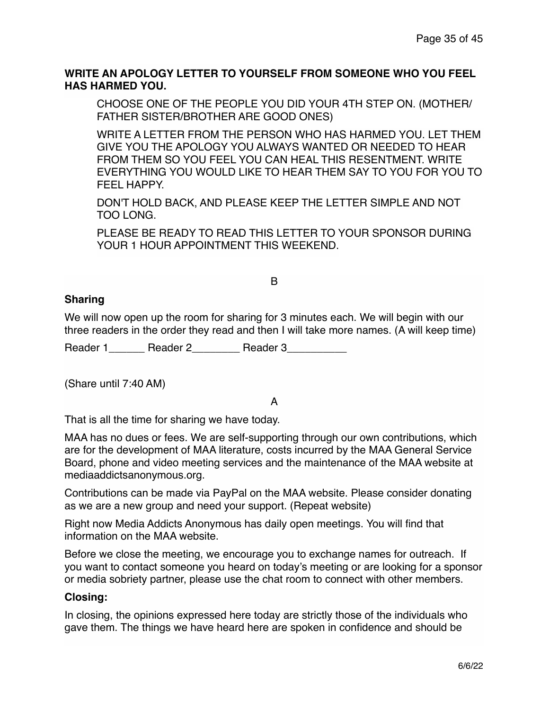## **WRITE AN APOLOGY LETTER TO YOURSELF FROM SOMEONE WHO YOU FEEL HAS HARMED YOU.**

CHOOSE ONE OF THE PEOPLE YOU DID YOUR 4TH STEP ON. (MOTHER/ FATHER SISTER/BROTHER ARE GOOD ONES)

WRITE A LETTER FROM THE PERSON WHO HAS HARMED YOU. LET THEM GIVE YOU THE APOLOGY YOU ALWAYS WANTED OR NEEDED TO HEAR FROM THEM SO YOU FEEL YOU CAN HEAL THIS RESENTMENT. WRITE EVERYTHING YOU WOULD LIKE TO HEAR THEM SAY TO YOU FOR YOU TO FEEL HAPPY.

DON'T HOLD BACK, AND PLEASE KEEP THE LETTER SIMPLE AND NOT TOO LONG.

PLEASE BE READY TO READ THIS LETTER TO YOUR SPONSOR DURING YOUR 1 HOUR APPOINTMENT THIS WEEKEND.

#### B

### **Sharing**

We will now open up the room for sharing for 3 minutes each. We will begin with our three readers in the order they read and then I will take more names. (A will keep time)

Reader 1 \_\_\_\_\_\_ Reader 2 \_\_\_\_\_\_\_\_ Reader 3

(Share until 7:40 AM)

# A

That is all the time for sharing we have today.

MAA has no dues or fees. We are self-supporting through our own contributions, which are for the development of MAA literature, costs incurred by the MAA General Service Board, phone and video meeting services and the maintenance of the MAA website at mediaaddictsanonymous.org.

Contributions can be made via PayPal on the MAA website. Please consider donating as we are a new group and need your support. (Repeat website)

Right now Media Addicts Anonymous has daily open meetings. You will find that information on the MAA website.

Before we close the meeting, we encourage you to exchange names for outreach. If you want to contact someone you heard on today's meeting or are looking for a sponsor or media sobriety partner, please use the chat room to connect with other members.

### **Closing:**

In closing, the opinions expressed here today are strictly those of the individuals who gave them. The things we have heard here are spoken in confidence and should be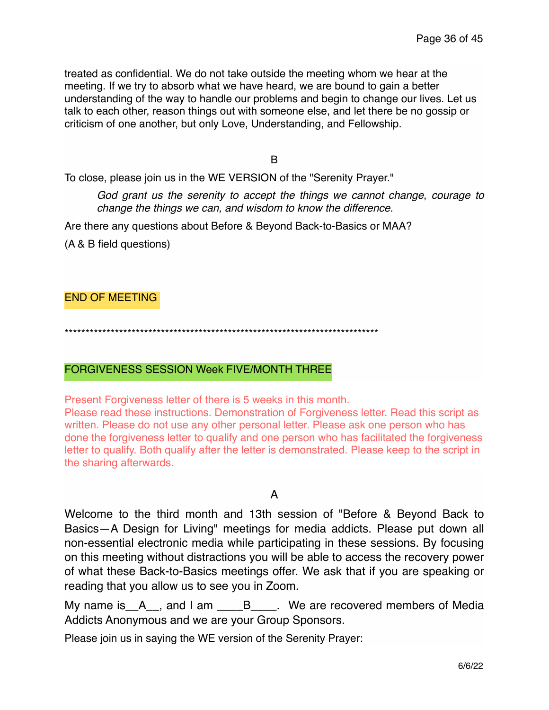treated as confidential. We do not take outside the meeting whom we hear at the meeting. If we try to absorb what we have heard, we are bound to gain a better understanding of the way to handle our problems and begin to change our lives. Let us talk to each other, reason things out with someone else, and let there be no gossip or criticism of one another, but only Love, Understanding, and Fellowship.

B

To close, please join us in the WE VERSION of the "Serenity Prayer."

*God grant us the serenity to accept the things we cannot change, courage to change the things we can, and wisdom to know the difference.*

Are there any questions about Before & Beyond Back-to-Basics or MAA?

(A & B field questions)

END OF MEETING

\*\*\*\*\*\*\*\*\*\*\*\*\*\*\*\*\*\*\*\*\*\*\*\*\*\*\*\*\*\*\*\*\*\*\*\*\*\*\*\*\*\*\*\*\*\*\*\*\*\*\*\*\*\*\*\*\*\*\*\*\*\*\*\*\*\*\*\*\*\*\*\*\*\*\*

#### FORGIVENESS SESSION Week FIVE/MONTH THREE

Present Forgiveness letter of there is 5 weeks in this month.

Please read these instructions. Demonstration of Forgiveness letter. Read this script as written. Please do not use any other personal letter. Please ask one person who has done the forgiveness letter to qualify and one person who has facilitated the forgiveness letter to qualify. Both qualify after the letter is demonstrated. Please keep to the script in the sharing afterwards.

A

Welcome to the third month and 13th session of "Before & Beyond Back to Basics—A Design for Living" meetings for media addicts. Please put down all non-essential electronic media while participating in these sessions. By focusing on this meeting without distractions you will be able to access the recovery power of what these Back-to-Basics meetings offer. We ask that if you are speaking or reading that you allow us to see you in Zoom.

My name is A<sub>\_\_</sub>, and I am \_\_\_\_B<sub>\_\_\_\_</sub>. We are recovered members of Media Addicts Anonymous and we are your Group Sponsors.

Please join us in saying the WE version of the Serenity Prayer: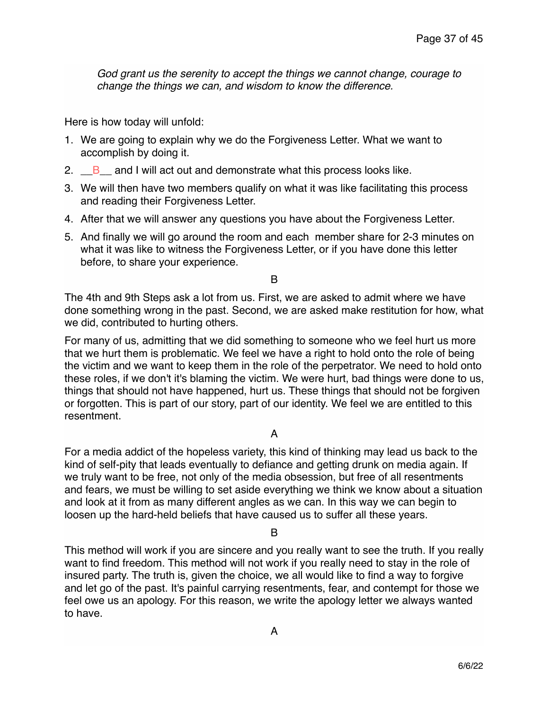*God grant us the serenity to accept the things we cannot change, courage to change the things we can, and wisdom to know the difference.*

Here is how today will unfold:

- 1. We are going to explain why we do the Forgiveness Letter. What we want to accomplish by doing it.
- 2.  $\Box$  B and I will act out and demonstrate what this process looks like.
- 3. We will then have two members qualify on what it was like facilitating this process and reading their Forgiveness Letter.
- 4. After that we will answer any questions you have about the Forgiveness Letter.
- 5. And finally we will go around the room and each member share for 2-3 minutes on what it was like to witness the Forgiveness Letter, or if you have done this letter before, to share your experience.

B

The 4th and 9th Steps ask a lot from us. First, we are asked to admit where we have done something wrong in the past. Second, we are asked make restitution for how, what we did, contributed to hurting others.

For many of us, admitting that we did something to someone who we feel hurt us more that we hurt them is problematic. We feel we have a right to hold onto the role of being the victim and we want to keep them in the role of the perpetrator. We need to hold onto these roles, if we don't it's blaming the victim. We were hurt, bad things were done to us, things that should not have happened, hurt us. These things that should not be forgiven or forgotten. This is part of our story, part of our identity. We feel we are entitled to this resentment.

### A

For a media addict of the hopeless variety, this kind of thinking may lead us back to the kind of self-pity that leads eventually to defiance and getting drunk on media again. If we truly want to be free, not only of the media obsession, but free of all resentments and fears, we must be willing to set aside everything we think we know about a situation and look at it from as many different angles as we can. In this way we can begin to loosen up the hard-held beliefs that have caused us to suffer all these years.

B

This method will work if you are sincere and you really want to see the truth. If you really want to find freedom. This method will not work if you really need to stay in the role of insured party. The truth is, given the choice, we all would like to find a way to forgive and let go of the past. It's painful carrying resentments, fear, and contempt for those we feel owe us an apology. For this reason, we write the apology letter we always wanted to have.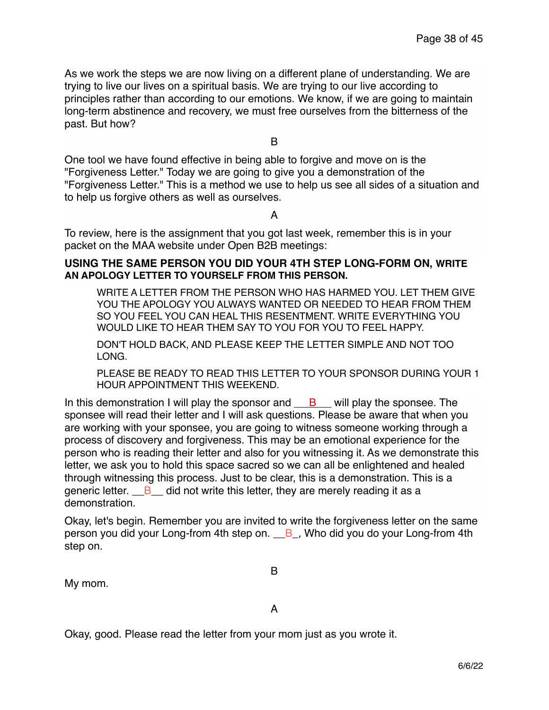As we work the steps we are now living on a different plane of understanding. We are trying to live our lives on a spiritual basis. We are trying to our live according to principles rather than according to our emotions. We know, if we are going to maintain long-term abstinence and recovery, we must free ourselves from the bitterness of the past. But how?

B

One tool we have found effective in being able to forgive and move on is the "Forgiveness Letter." Today we are going to give you a demonstration of the "Forgiveness Letter." This is a method we use to help us see all sides of a situation and to help us forgive others as well as ourselves.

A

To review, here is the assignment that you got last week, remember this is in your packet on the MAA website under Open B2B meetings:

#### **USING THE SAME PERSON YOU DID YOUR 4TH STEP LONG-FORM ON, WRITE AN APOLOGY LETTER TO YOURSELF FROM THIS PERSON.**

WRITE A LETTER FROM THE PERSON WHO HAS HARMED YOU. LET THEM GIVE YOU THE APOLOGY YOU ALWAYS WANTED OR NEEDED TO HEAR FROM THEM SO YOU FEEL YOU CAN HEAL THIS RESENTMENT. WRITE EVERYTHING YOU WOULD LIKE TO HEAR THEM SAY TO YOU FOR YOU TO FEEL HAPPY.

DON'T HOLD BACK, AND PLEASE KEEP THE LETTER SIMPLE AND NOT TOO LONG.

PLEASE BE READY TO READ THIS LETTER TO YOUR SPONSOR DURING YOUR 1 HOUR APPOINTMENT THIS WEEKEND.

In this demonstration I will play the sponsor and  $B$  will play the sponsee. The sponsee will read their letter and I will ask questions. Please be aware that when you are working with your sponsee, you are going to witness someone working through a process of discovery and forgiveness. This may be an emotional experience for the person who is reading their letter and also for you witnessing it. As we demonstrate this letter, we ask you to hold this space sacred so we can all be enlightened and healed through witnessing this process. Just to be clear, this is a demonstration. This is a generic letter.  $\overline{B}$  did not write this letter, they are merely reading it as a demonstration.

Okay, let's begin. Remember you are invited to write the forgiveness letter on the same person you did your Long-from 4th step on.  $\overline{B}$ , Who did you do your Long-from 4th step on.

My mom.

B

A

Okay, good. Please read the letter from your mom just as you wrote it.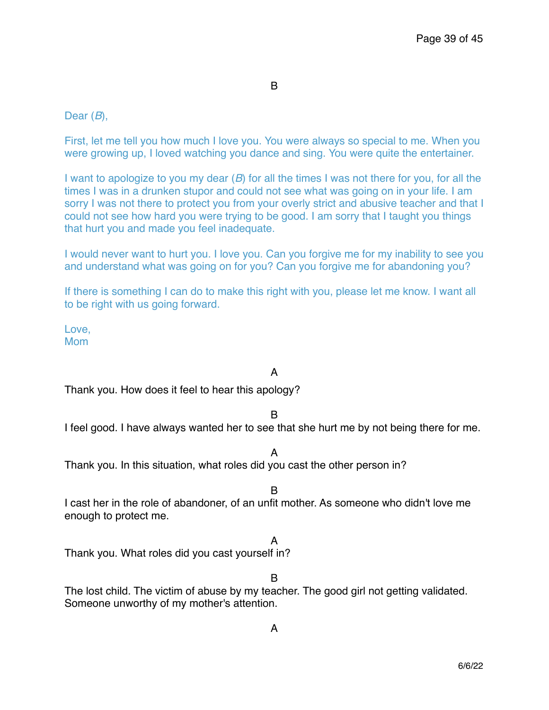B

## Dear (*B*),

First, let me tell you how much I love you. You were always so special to me. When you were growing up, I loved watching you dance and sing. You were quite the entertainer.

I want to apologize to you my dear (*B*) for all the times I was not there for you, for all the times I was in a drunken stupor and could not see what was going on in your life. I am sorry I was not there to protect you from your overly strict and abusive teacher and that I could not see how hard you were trying to be good. I am sorry that I taught you things that hurt you and made you feel inadequate.

I would never want to hurt you. I love you. Can you forgive me for my inability to see you and understand what was going on for you? Can you forgive me for abandoning you?

If there is something I can do to make this right with you, please let me know. I want all to be right with us going forward.

Love, Mom

# A

Thank you. How does it feel to hear this apology?

B

I feel good. I have always wanted her to see that she hurt me by not being there for me.

A

Thank you. In this situation, what roles did you cast the other person in?

B

I cast her in the role of abandoner, of an unfit mother. As someone who didn't love me enough to protect me.

A

Thank you. What roles did you cast yourself in?

B

The lost child. The victim of abuse by my teacher. The good girl not getting validated. Someone unworthy of my mother's attention.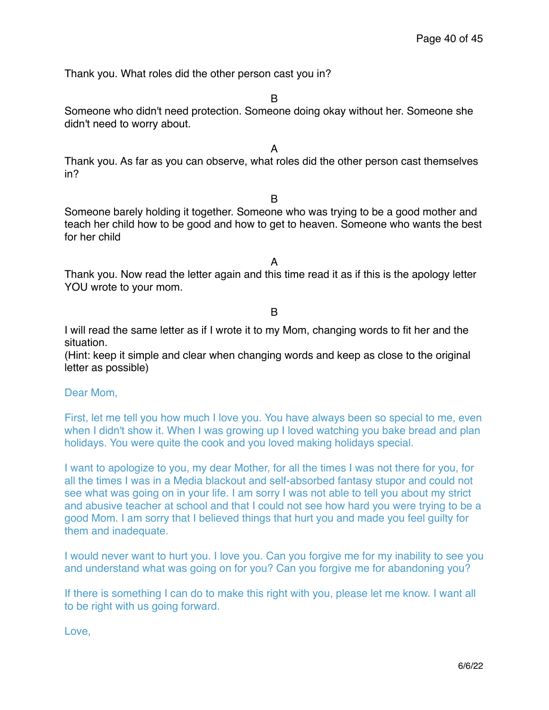Thank you. What roles did the other person cast you in?

B

Someone who didn't need protection. Someone doing okay without her. Someone she didn't need to worry about.

A

Thank you. As far as you can observe, what roles did the other person cast themselves in?

B

Someone barely holding it together. Someone who was trying to be a good mother and teach her child how to be good and how to get to heaven. Someone who wants the best for her child

A

Thank you. Now read the letter again and this time read it as if this is the apology letter YOU wrote to your mom.

B

I will read the same letter as if I wrote it to my Mom, changing words to fit her and the situation.

(Hint: keep it simple and clear when changing words and keep as close to the original letter as possible)

Dear Mom,

First, let me tell you how much I love you. You have always been so special to me, even when I didn't show it. When I was growing up I loved watching you bake bread and plan holidays. You were quite the cook and you loved making holidays special.

I want to apologize to you, my dear Mother, for all the times I was not there for you, for all the times I was in a Media blackout and self-absorbed fantasy stupor and could not see what was going on in your life. I am sorry I was not able to tell you about my strict and abusive teacher at school and that I could not see how hard you were trying to be a good Mom. I am sorry that I believed things that hurt you and made you feel guilty for them and inadequate.

I would never want to hurt you. I love you. Can you forgive me for my inability to see you and understand what was going on for you? Can you forgive me for abandoning you?

If there is something I can do to make this right with you, please let me know. I want all to be right with us going forward.

Love,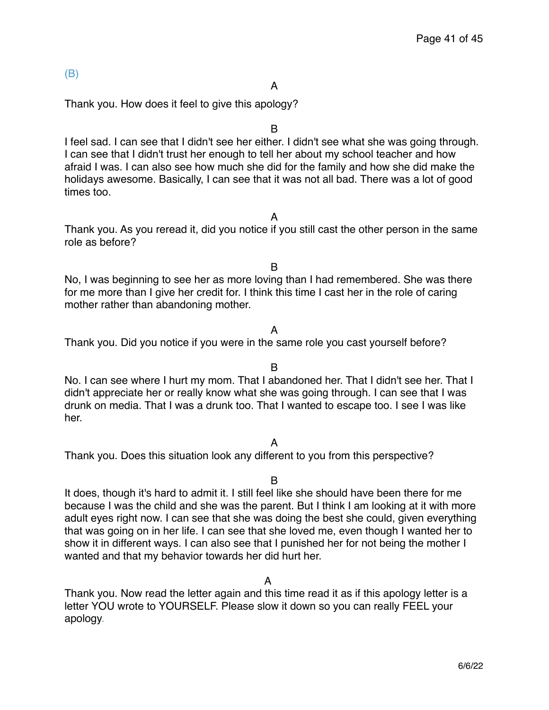## (B)

#### A

Thank you. How does it feel to give this apology?

B

I feel sad. I can see that I didn't see her either. I didn't see what she was going through. I can see that I didn't trust her enough to tell her about my school teacher and how afraid I was. I can also see how much she did for the family and how she did make the holidays awesome. Basically, I can see that it was not all bad. There was a lot of good times too.

A

Thank you. As you reread it, did you notice if you still cast the other person in the same role as before?

B

No, I was beginning to see her as more loving than I had remembered. She was there for me more than I give her credit for. I think this time I cast her in the role of caring mother rather than abandoning mother.

#### A

Thank you. Did you notice if you were in the same role you cast yourself before?

### B

No. I can see where I hurt my mom. That I abandoned her. That I didn't see her. That I didn't appreciate her or really know what she was going through. I can see that I was drunk on media. That I was a drunk too. That I wanted to escape too. I see I was like her.

#### A

Thank you. Does this situation look any different to you from this perspective?

#### B

It does, though it's hard to admit it. I still feel like she should have been there for me because I was the child and she was the parent. But I think I am looking at it with more adult eyes right now. I can see that she was doing the best she could, given everything that was going on in her life. I can see that she loved me, even though I wanted her to show it in different ways. I can also see that I punished her for not being the mother I wanted and that my behavior towards her did hurt her.

A

Thank you. Now read the letter again and this time read it as if this apology letter is a letter YOU wrote to YOURSELF. Please slow it down so you can really FEEL your apology.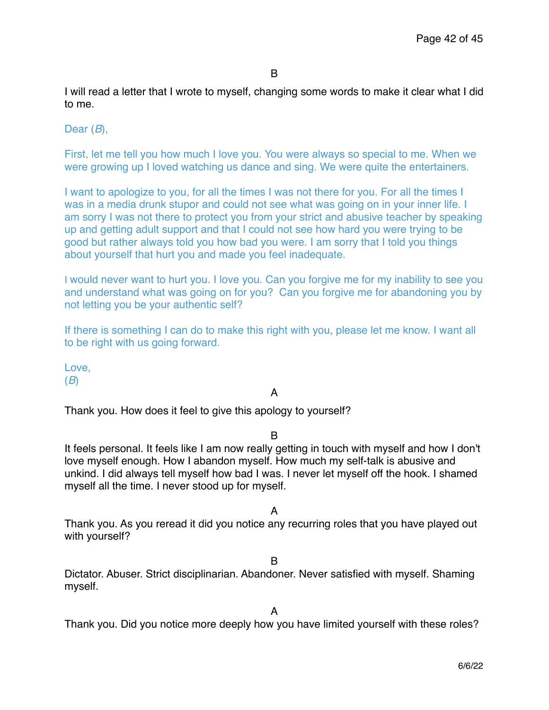I will read a letter that I wrote to myself, changing some words to make it clear what I did to me.

Dear (*B*),

First, let me tell you how much I love you. You were always so special to me. When we were growing up I loved watching us dance and sing. We were quite the entertainers.

I want to apologize to you, for all the times I was not there for you. For all the times I was in a media drunk stupor and could not see what was going on in your inner life. I am sorry I was not there to protect you from your strict and abusive teacher by speaking up and getting adult support and that I could not see how hard you were trying to be good but rather always told you how bad you were. I am sorry that I told you things about yourself that hurt you and made you feel inadequate.

I would never want to hurt you. I love you. Can you forgive me for my inability to see you and understand what was going on for you? Can you forgive me for abandoning you by not letting you be your authentic self?

If there is something I can do to make this right with you, please let me know. I want all to be right with us going forward.

Love, (*B*)

A

Thank you. How does it feel to give this apology to yourself?

B

It feels personal. It feels like I am now really getting in touch with myself and how I don't love myself enough. How I abandon myself. How much my self-talk is abusive and unkind. I did always tell myself how bad I was. I never let myself off the hook. I shamed myself all the time. I never stood up for myself.

A

Thank you. As you reread it did you notice any recurring roles that you have played out with yourself?

### B

Dictator. Abuser. Strict disciplinarian. Abandoner. Never satisfied with myself. Shaming myself.

Thank you. Did you notice more deeply how you have limited yourself with these roles?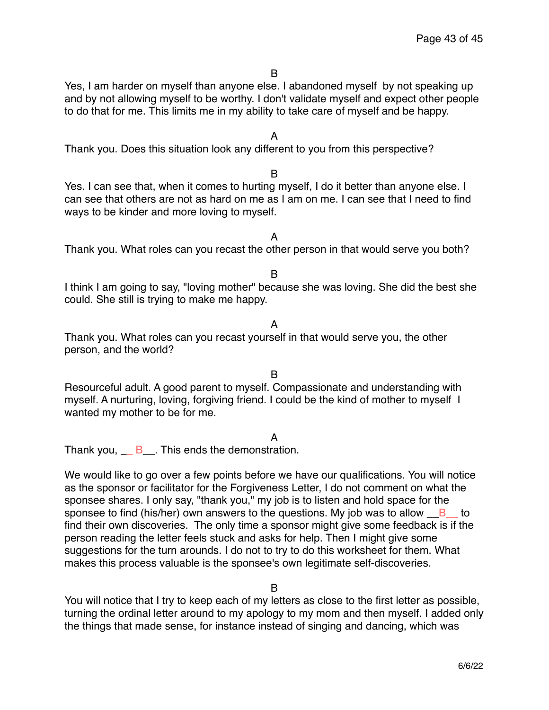Yes, I am harder on myself than anyone else. I abandoned myself by not speaking up and by not allowing myself to be worthy. I don't validate myself and expect other people to do that for me. This limits me in my ability to take care of myself and be happy.

A

Thank you. Does this situation look any different to you from this perspective?

B

Yes. I can see that, when it comes to hurting myself, I do it better than anyone else. I can see that others are not as hard on me as I am on me. I can see that I need to find ways to be kinder and more loving to myself.

A

Thank you. What roles can you recast the other person in that would serve you both?

B

I think I am going to say, "loving mother" because she was loving. She did the best she could. She still is trying to make me happy.

A

Thank you. What roles can you recast yourself in that would serve you, the other person, and the world?

B

Resourceful adult. A good parent to myself. Compassionate and understanding with myself. A nurturing, loving, forgiving friend. I could be the kind of mother to myself I wanted my mother to be for me.

A

Thank you,  $\overline{B}$  This ends the demonstration.

We would like to go over a few points before we have our qualifications. You will notice as the sponsor or facilitator for the Forgiveness Letter, I do not comment on what the sponsee shares. I only say, "thank you," my job is to listen and hold space for the sponsee to find (his/her) own answers to the questions. My job was to allow  $B$  to find their own discoveries. The only time a sponsor might give some feedback is if the person reading the letter feels stuck and asks for help. Then I might give some suggestions for the turn arounds. I do not to try to do this worksheet for them. What makes this process valuable is the sponsee's own legitimate self-discoveries.

B

You will notice that I try to keep each of my letters as close to the first letter as possible, turning the ordinal letter around to my apology to my mom and then myself. I added only the things that made sense, for instance instead of singing and dancing, which was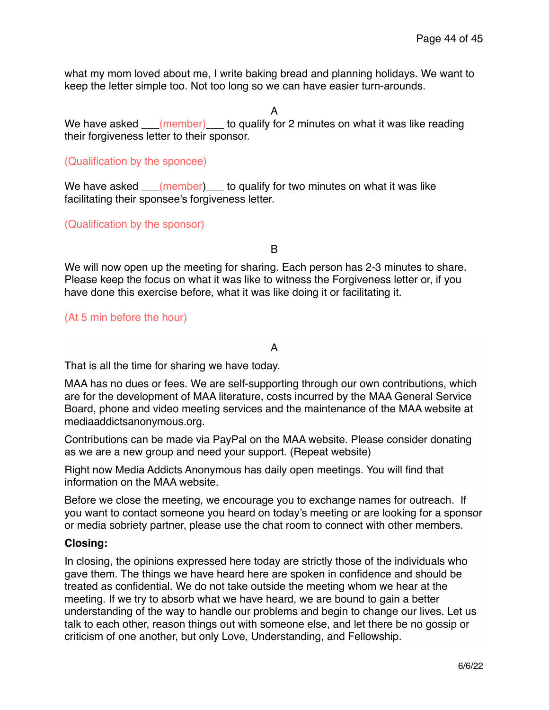what my mom loved about me, I write baking bread and planning holidays. We want to keep the letter simple too. Not too long so we can have easier turn-arounds.

A

We have asked \_\_\_(member) \_\_\_ to qualify for 2 minutes on what it was like reading their forgiveness letter to their sponsor.

#### (Qualification by the sponcee)

We have asked \_\_\_(member) \_\_\_ to qualify for two minutes on what it was like facilitating their sponsee's forgiveness letter.

#### (Qualification by the sponsor)

B

We will now open up the meeting for sharing. Each person has 2-3 minutes to share. Please keep the focus on what it was like to witness the Forgiveness letter or, if you have done this exercise before, what it was like doing it or facilitating it.

(At 5 min before the hour)

### A

That is all the time for sharing we have today.

MAA has no dues or fees. We are self-supporting through our own contributions, which are for the development of MAA literature, costs incurred by the MAA General Service Board, phone and video meeting services and the maintenance of the MAA website at mediaaddictsanonymous.org.

Contributions can be made via PayPal on the MAA website. Please consider donating as we are a new group and need your support. (Repeat website)

Right now Media Addicts Anonymous has daily open meetings. You will find that information on the MAA website.

Before we close the meeting, we encourage you to exchange names for outreach. If you want to contact someone you heard on today's meeting or are looking for a sponsor or media sobriety partner, please use the chat room to connect with other members.

#### **Closing:**

In closing, the opinions expressed here today are strictly those of the individuals who gave them. The things we have heard here are spoken in confidence and should be treated as confidential. We do not take outside the meeting whom we hear at the meeting. If we try to absorb what we have heard, we are bound to gain a better understanding of the way to handle our problems and begin to change our lives. Let us talk to each other, reason things out with someone else, and let there be no gossip or criticism of one another, but only Love, Understanding, and Fellowship.